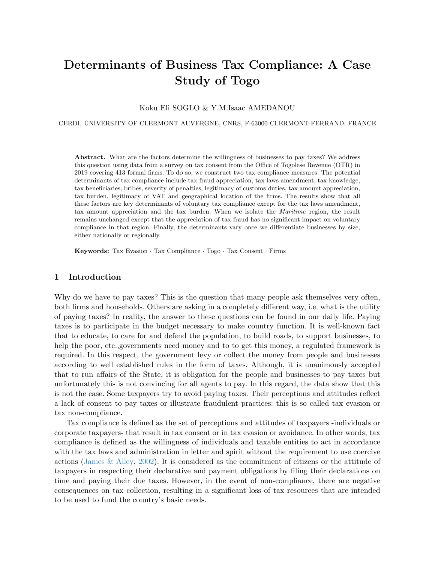# <span id="page-0-0"></span>Determinants of Business Tax Compliance: A Case Study of Togo

Koku Eli SOGLO & Y.M.Isaac AMEDANOU

CERDI, UNIVERSITY OF CLERMONT AUVERGNE, CNRS, F-63000 CLERMONT-FERRAND, FRANCE

Abstract. What are the factors determine the willingness of businesses to pay taxes? We address this question using data from a survey on tax consent from the Office of Togolese Revenue (OTR) in 2019 covering 413 formal firms. To do so, we construct two tax compliance measures. The potential determinants of tax compliance include tax fraud appreciation, tax laws amendment, tax knowledge, tax beneficiaries, bribes, severity of penalties, legitimacy of customs duties, tax amount appreciation, tax burden, legitimacy of VAT and geographical location of the firms. The results show that all these factors are key determinants of voluntary tax compliance except for the tax laws amendment, tax amount appreciation and the tax burden. When we isolate the Maritime region, the result remains unchanged except that the appreciation of tax fraud has no significant impact on voluntary compliance in that region. Finally, the determinants vary once we differentiate businesses by size, either nationally or regionally.

Keywords: Tax Evasion · Tax Compliance · Togo · Tax Consent · Firms

# 1 Introduction

Why do we have to pay taxes? This is the question that many people ask themselves very often, both firms and households. Others are asking in a completely different way, i.e. what is the utility of paying taxes? In reality, the answer to these questions can be found in our daily life. Paying taxes is to participate in the budget necessary to make country function. It is well-known fact that to educate, to care for and defend the population, to build roads, to support businesses, to help the poor, etc.,governments need money and to to get this money, a regulated framework is required. In this respect, the government levy or collect the money from people and businesses according to well established rules in the form of taxes. Although, it is unanimously accepted that to run affairs of the State, it is obligation for the people and businesses to pay taxes but unfortunately this is not convincing for all agents to pay. In this regard, the data show that this is not the case. Some taxpayers try to avoid paying taxes. Their perceptions and attitudes reflect a lack of consent to pay taxes or illustrate fraudulent practices: this is so called tax evasion or tax non-compliance.

Tax compliance is defined as the set of perceptions and attitudes of taxpayers -individuals or corporate taxpayers- that result in tax consent or in tax evasion or avoidance. In other words, tax compliance is defined as the willingness of individuals and taxable entities to act in accordance with the tax laws and administration in letter and spirit without the requirement to use coercive actions (James  $\&$  Alley, [2002\)](#page-21-0). It is considered as the commitment of citizens or the attitude of taxpayers in respecting their declarative and payment obligations by filing their declarations on time and paying their due taxes. However, in the event of non-compliance, there are negative consequences on tax collection, resulting in a significant loss of tax resources that are intended to be used to fund the country's basic needs.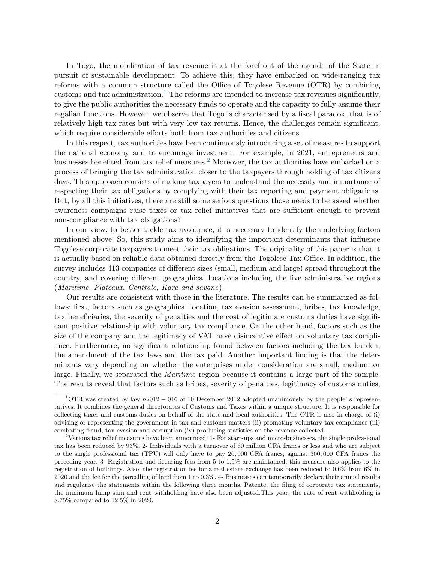In Togo, the mobilisation of tax revenue is at the forefront of the agenda of the State in pursuit of sustainable development. To achieve this, they have embarked on wide-ranging tax reforms with a common structure called the Office of Togolese Revenue (OTR) by combining customs and tax administration.<sup>[1](#page-0-0)</sup> The reforms are intended to increase tax revenues significantly, to give the public authorities the necessary funds to operate and the capacity to fully assume their regalian functions. However, we observe that Togo is characterised by a fiscal paradox, that is of relatively high tax rates but with very low tax returns. Hence, the challenges remain significant, which require considerable efforts both from tax authorities and citizens.

In this respect, tax authorities have been continuously introducing a set of measures to support the national economy and to encourage investment. For example, in 2021, entrepreneurs and businesses benefited from tax relief measures.[2](#page-0-0) Moreover, the tax authorities have embarked on a process of bringing the tax administration closer to the taxpayers through holding of tax citizens days. This approach consists of making taxpayers to understand the necessity and importance of respecting their tax obligations by complying with their tax reporting and payment obligations. But, by all this initiatives, there are still some serious questions those needs to be asked whether awareness campaigns raise taxes or tax relief initiatives that are sufficient enough to prevent non-compliance with tax obligations?

In our view, to better tackle tax avoidance, it is necessary to identify the underlying factors mentioned above. So, this study aims to identifying the important determinants that influence Togolese corporate taxpayers to meet their tax obligations. The originality of this paper is that it is actually based on reliable data obtained directly from the Togolese Tax Office. In addition, the survey includes 413 companies of different sizes (small, medium and large) spread throughout the country, and covering different geographical locations including the five administrative regions (Maritime, Plateaux, Centrale, Kara and savane).

Our results are consistent with those in the literature. The results can be summarized as follows: first, factors such as geographical location, tax evasion assessment, bribes, tax knowledge, tax beneficiaries, the severity of penalties and the cost of legitimate customs duties have significant positive relationship with voluntary tax compliance. On the other hand, factors such as the size of the company and the legitimacy of VAT have disincentive effect on voluntary tax compliance. Furthermore, no significant relationship found between factors including the tax burden, the amendment of the tax laws and the tax paid. Another important finding is that the determinants vary depending on whether the enterprises under consideration are small, medium or large. Finally, we separated the Maritime region because it contains a large part of the sample. The results reveal that factors such as bribes, severity of penalties, legitimacy of customs duties,

<sup>&</sup>lt;sup>1</sup>OTR was created by law  $n2012 - 016$  of 10 December 2012 adopted unanimously by the people' s representatives. It combines the general directorates of Customs and Taxes within a unique structure. It is responsible for collecting taxes and customs duties on behalf of the state and local authorities. The OTR is also in charge of (i) advising or representing the government in tax and customs matters (ii) promoting voluntary tax compliance (iii) combating fraud, tax evasion and corruption (iv) producing statistics on the revenue collected.

<sup>2</sup>Various tax relief measures have been announced: 1- For start-ups and micro-businesses, the single professional tax has been reduced by 93%. 2- Individuals with a turnover of 60 million CFA francs or less and who are subject to the single professional tax (TPU) will only have to pay 20, 000 CFA francs, against 300, 000 CFA francs the preceding year. 3- Registration and licensing fees from 5 to 1.5% are maintained; this measure also applies to the registration of buildings. Also, the registration fee for a real estate exchange has been reduced to 0.6% from 6% in 2020 and the fee for the parcelling of land from 1 to 0.3%. 4- Businesses can temporarily declare their annual results and regularise the statements within the following three months. Patente, the filing of corporate tax statements, the minimum lump sum and rent withholding have also been adjusted.This year, the rate of rent withholding is 8.75% compared to 12.5% in 2020.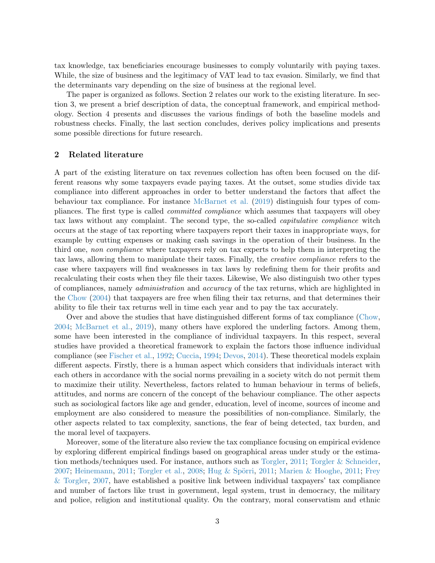tax knowledge, tax beneficiaries encourage businesses to comply voluntarily with paying taxes. While, the size of business and the legitimacy of VAT lead to tax evasion. Similarly, we find that the determinants vary depending on the size of business at the regional level.

The paper is organized as follows. Section 2 relates our work to the existing literature. In section 3, we present a brief description of data, the conceptual framework, and empirical methodology. Section 4 presents and discusses the various findings of both the baseline models and robustness checks. Finally, the last section concludes, derives policy implications and presents some possible directions for future research.

## 2 Related literature

A part of the existing literature on tax revenues collection has often been focused on the different reasons why some taxpayers evade paying taxes. At the outset, some studies divide tax compliance into different approaches in order to better understand the factors that affect the behaviour tax compliance. For instance [McBarnet et al.](#page-22-0) [\(2019\)](#page-22-0) distinguish four types of compliances. The first type is called committed compliance which assumes that taxpayers will obey tax laws without any complaint. The second type, the so-called capitulative compliance witch occurs at the stage of tax reporting where taxpayers report their taxes in inappropriate ways, for example by cutting expenses or making cash savings in the operation of their business. In the third one, non compliance where taxpayers rely on tax experts to help them in interpreting the tax laws, allowing them to manipulate their taxes. Finally, the creative compliance refers to the case where taxpayers will find weaknesses in tax laws by redefining them for their profits and recalculating their costs when they file their taxes. Likewise, We also distinguish two other types of compliances, namely administration and accuracy of the tax returns, which are highlighted in the [Chow](#page-21-1) [\(2004\)](#page-21-1) that taxpayers are free when filing their tax returns, and that determines their ability to file their tax returns well in time each year and to pay the tax accurately.

Over and above the studies that have distinguished different forms of tax compliance [\(Chow,](#page-21-1) [2004;](#page-21-1) [McBarnet et al.,](#page-22-0) [2019\)](#page-22-0), many others have explored the underling factors. Among them, some have been interested in the compliance of individual taxpayers. In this respect, several studies have provided a theoretical framework to explain the factors those influence individual compliance (see [Fischer et al.,](#page-21-2) [1992;](#page-21-2) [Cuccia,](#page-21-3) [1994;](#page-21-3) [Devos,](#page-21-4) [2014\)](#page-21-4). These theoretical models explain different aspects. Firstly, there is a human aspect which considers that individuals interact with each others in accordance with the social norms prevailing in a society witch do not permit them to maximize their utility. Nevertheless, factors related to human behaviour in terms of beliefs, attitudes, and norms are concern of the concept of the behaviour compliance. The other aspects such as sociological factors like age and gender, education, level of income, sources of income and employment are also considered to measure the possibilities of non-compliance. Similarly, the other aspects related to tax complexity, sanctions, the fear of being detected, tax burden, and the moral level of taxpayers.

Moreover, some of the literature also review the tax compliance focusing on empirical evidence by exploring different empirical findings based on geographical areas under study or the estimation methods/techniques used. For instance, authors such as [Torgler,](#page-22-1) [2011;](#page-22-1) [Torgler & Schneider,](#page-22-2) [2007;](#page-22-2) [Heinemann,](#page-21-5) [2011;](#page-22-4) [Torgler et al.,](#page-22-3) [2008;](#page-22-3) Hug & Spörri, 2011; [Marien & Hooghe,](#page-22-4) 2011; [Frey](#page-21-7) [& Torgler,](#page-21-7) [2007,](#page-21-7) have established a positive link between individual taxpayers' tax compliance and number of factors like trust in government, legal system, trust in democracy, the military and police, religion and institutional quality. On the contrary, moral conservatism and ethnic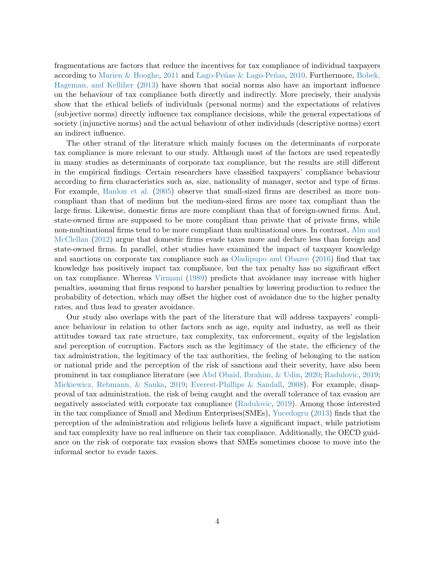fragmentations are factors that reduce the incentives for tax compliance of individual taxpayers according to [Marien & Hooghe,](#page-22-4) [2011](#page-22-4) and Lago-Peñas & Lago-Peñas, [2010.](#page-22-5) Furthermore, [Bobek,](#page-21-8) [Hageman, and Kelliher](#page-21-8) [\(2013\)](#page-21-8) have shown that social norms also have an important influence on the behaviour of tax compliance both directly and indirectly. More precisely, their analysis show that the ethical beliefs of individuals (personal norms) and the expectations of relatives (subjective norms) directly influence tax compliance decisions, while the general expectations of society (injunctive norms) and the actual behaviour of other individuals (descriptive norms) exert an indirect influence.

The other strand of the literature which mainly focuses on the determinants of corporate tax compliance is more relevant to our study. Although most of the factors are used repeatedly in many studies as determinants of corporate tax compliance, but the results are still different in the empirical findings. Certain researchers have classified taxpayers' compliance behaviour according to firm characteristics such as, size, nationality of manager, sector and type of firms. For example, [Hanlon et al.](#page-21-9) [\(2005\)](#page-21-9) observe that small-sized firms are described as more noncompliant than that of medium but the medium-sized firms are more tax compliant than the large firms. Likewise, domestic firms are more compliant than that of foreign-owned firms. And, state-owned firms are supposed to be more compliant than private that of private firms, while non-multinational firms tend to be more compliant than multinational ones. In contrast, [Alm and](#page-21-10) [McClellan](#page-21-10) [\(2012\)](#page-21-10) argue that domestic firms evade taxes more and declare less than foreign and state-owned firms. In parallel, other studies have examined the impact of taxpayer knowledge and sanctions on corporate tax compliance such as [Oladipupo and Obazee](#page-22-6) [\(2016\)](#page-22-6) find that tax knowledge has positively impact tax compliance, but the tax penalty has no significant effect on tax compliance. Whereas [Virmani](#page-22-7) [\(1989\)](#page-22-7) predicts that avoidance may increase with higher penalties, assuming that firms respond to harsher penalties by lowering production to reduce the probability of detection, which may offset the higher cost of avoidance due to the higher penalty rates, and thus lead to greater avoidance.

Our study also overlaps with the part of the literature that will address taxpayers' compliance behaviour in relation to other factors such as age, equity and industry, as well as their attitudes toward tax rate structure, tax complexity, tax enforcement, equity of the legislation and perception of corruption. Factors such as the legitimacy of the state, the efficiency of the tax administration, the legitimacy of the tax authorities, the feeling of belonging to the nation or national pride and the perception of the risk of sanctions and their severity, have also been prominent in tax compliance literature (see [Abd Obaid, Ibrahim, & Udin,](#page-21-11) [2020;](#page-21-11) [Radulovic,](#page-22-8) [2019;](#page-22-8) [Mickiewicz, Rebmann, & Sauka,](#page-22-9) [2019;](#page-22-9) [Everest-Phillips & Sandall,](#page-21-12) [2008\)](#page-21-12). For example, disapproval of tax administration, the risk of being caught and the overall tolerance of tax evasion are negatively associated with corporate tax compliance [\(Radulovic,](#page-22-8) [2019\)](#page-22-8). Among those interested in the tax compliance of Small and Medium Enterprises(SMEs), [Yucedogru](#page-22-10) [\(2013\)](#page-22-10) finds that the perception of the administration and religious beliefs have a significant impact, while patriotism and tax complexity have no real influence on their tax compliance. Additionally, the OECD guidance on the risk of corporate tax evasion shows that SMEs sometimes choose to move into the informal sector to evade taxes.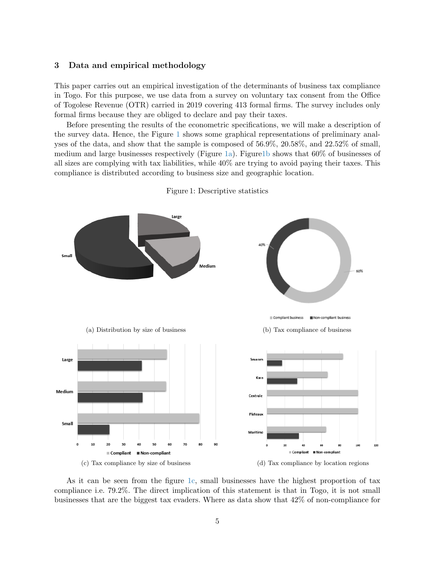### 3 Data and empirical methodology

This paper carries out an empirical investigation of the determinants of business tax compliance in Togo. For this purpose, we use data from a survey on voluntary tax consent from the Office of Togolese Revenue (OTR) carried in 2019 covering 413 formal firms. The survey includes only formal firms because they are obliged to declare and pay their taxes.

Before presenting the results of the econometric specifications, we will make a description of the survey data. Hence, the Figure [1](#page-4-0) shows some graphical representations of preliminary analyses of the data, and show that the sample is composed of 56.9%, 20.58%, and 22.52% of small, medium and large businesses respectively (Figure [1a\)](#page-4-0). Figure 1b shows that  $60\%$  of businesses of all sizes are complying with tax liabilities, while 40% are trying to avoid paying their taxes. This compliance is distributed according to business size and geographic location.

<span id="page-4-0"></span>

Figure 1: Descriptive statistics

As it can be seen from the figure [1c,](#page-4-0) small businesses have the highest proportion of tax compliance i.e. 79.2%. The direct implication of this statement is that in Togo, it is not small businesses that are the biggest tax evaders. Where as data show that 42% of non-compliance for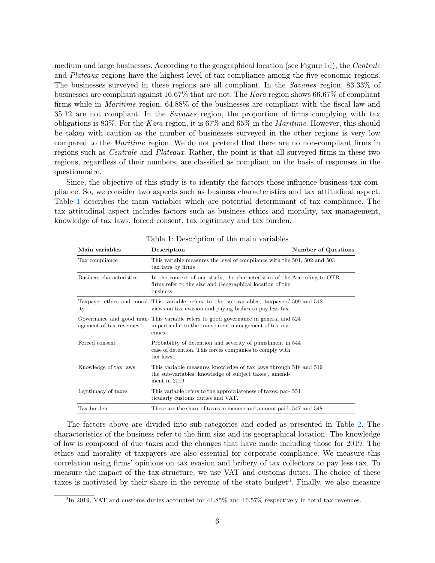medium and large businesses. According to the geographical location (see Figure [1d\)](#page-4-0), the Centrale and Plateaux regions have the highest level of tax compliance among the five economic regions. The businesses surveyed in these regions are all compliant. In the Savanes region, 83.33% of businesses are compliant against 16.67% that are not. The Kara region shows 66.67% of compliant firms while in Maritime region, 64.88% of the businesses are compliant with the fiscal law and 35.12 are not compliant. In the Savanes region, the proportion of firms complying with tax obligations is 83%. For the Kara region, it is  $67\%$  and  $65\%$  in the Maritime. However, this should be taken with caution as the number of businesses surveyed in the other regions is very low compared to the Maritime region. We do not pretend that there are no non-compliant firms in regions such as Centrale and Plateaux. Rather, the point is that all surveyed firms in these two regions, regardless of their numbers, are classified as compliant on the basis of responses in the questionnaire.

Since, the objective of this study is to identify the factors those influence business tax compliance. So, we consider two aspects such as business characteristics and tax attitudinal aspect. Table [1](#page-5-0) describes the main variables which are potential determinant of tax compliance. The tax attitudinal aspect includes factors such as business ethics and morality, tax management, knowledge of tax laws, forced consent, tax legitimacy and tax burden.

<span id="page-5-0"></span>

| Main variables           | Description                                                                                                                                             | Number of Questions |
|--------------------------|---------------------------------------------------------------------------------------------------------------------------------------------------------|---------------------|
| Tax compliance           | This variable measures the level of compliance with the 501, 502 and 503<br>tax laws by firms                                                           |                     |
| Business characteristics | In the context of our study, the characteristics of the According to OTR<br>firms refer to the size and Geographical location of the<br>business.       |                     |
| ity                      | Taxpayer ethics and moral-This variable refers to the sub-variables, taxpayers' 509 and 512<br>views on tax evasion and paying bribes to pay less tax.  |                     |
| agement of tax revenues  | Governance and good man-This variable refers to good governance in general and 524<br>in particular to the transparent management of tax rev-<br>enues. |                     |
| Forced consent           | Probability of detention and severity of punishment in 544<br>case of detention. This forces companies to comply with<br>tax laws.                      |                     |
| Knowledge of tax laws    | This variable measures knowledge of tax laws through 518 and 519<br>the sub-variables, knowledge of subject taxes, amend-<br>ment in 2019.              |                     |
| Legitimacy of taxes      | This variable refers to the appropriateness of taxes, par-551<br>ticularly customs duties and VAT.                                                      |                     |
| Tax burden               | These are the share of taxes in income and amount paid. 547 and 548                                                                                     |                     |

Table 1: Description of the main variables

The factors above are divided into sub-categories and coded as presented in Table [2.](#page-6-0) The characteristics of the business refer to the firm size and its geographical location. The knowledge of law is composed of due taxes and the changes that have made including those for 2019. The ethics and morality of taxpayers are also essential for corporate compliance. We measure this correlation using firms' opinions on tax evasion and bribery of tax collectors to pay less tax. To measure the impact of the tax structure, we use VAT and customs duties. The choice of these taxes is motivated by their share in the revenue of the state budget<sup>[3](#page-0-0)</sup>. Finally, we also measure

<sup>3</sup> In 2019, VAT and customs duties accounted for 41.85% and 16.57% respectively in total tax revenues.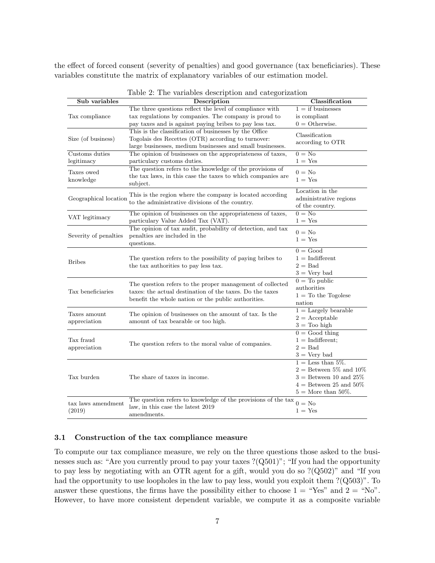<span id="page-6-0"></span>the effect of forced consent (severity of penalties) and good governance (tax beneficiaries). These variables constitute the matrix of explanatory variables of our estimation model.

| The three questions reflect the level of compliance with<br>$1 =$ if businesses<br>tax regulations by companies. The company is proud to<br>is compliant<br>Tax compliance<br>$0 =$ Otherwise.<br>pay taxes and is against paying bribes to pay less tax.<br>This is the classification of businesses by the Office<br>Classification<br>Togolais des Recettes (OTR) according to turnover:<br>according to OTR<br>large businesses, medium businesses and small businesses.<br>Customs duties<br>The opinion of businesses on the appropriateness of taxes,<br>$0 = No$<br>$1 = Yes$<br>legitimacy<br>particulary customs duties.<br>The question refers to the knowledge of the provisions of<br>Taxes owed<br>$0 = No$<br>the tax laws, in this case the taxes to which companies are<br>knowledge<br>$1 = Yes$<br>subject.<br>Location in the<br>This is the region where the company is located according<br>Geographical location<br>administrative regions<br>to the administrative divisions of the country.<br>of the country.<br>$0 = No$<br>The opinion of businesses on the appropriateness of taxes,<br>VAT legitimacy<br>particulary Value Added Tax (VAT).<br>$1 = Yes$<br>The opinion of tax audit, probability of detection, and tax<br>$0 = No$<br>penalties are included in the<br>Severity of penalties<br>$1 = Yes$<br>questions.<br>$0 = Good$<br>The question refers to the possibility of paying bribes to<br>$1 = Indifferent$<br><b>Bribes</b><br>$2 =$ Bad<br>the tax authorities to pay less tax.<br>$3 = \text{Very bad}$<br>$0 =$ To public<br>The question refers to the proper management of collected<br>authorities<br>Tax beneficiaries<br>taxes: the actual destination of the taxes. Do the taxes<br>$1 =$ To the Togolese<br>benefit the whole nation or the public authorities.<br>nation<br>$1 =$ Largely bearable<br>Taxes amount<br>The opinion of businesses on the amount of tax. Is the<br>$2 =$ Acceptable<br>amount of tax bearable or too high.<br>appreciation<br>$3 =$ Too high<br>$0 = Good thing$<br>Tax fraud<br>$1 = Indifferent:$<br>The question refers to the moral value of companies.<br>$2 =$ Bad<br>appreciation<br>$3 = \text{Very bad}$<br>$1 =$ Less than 5%.<br>$2$ = Between $5\%$ and $10\%$<br>$3 =$ Between 10 and 25%<br>Tax burden<br>The share of taxes in income.<br>$4 =$ Between 25 and 50%<br>$5 =$ More than 50%.<br>The question refers to knowledge of the provisions of the tax<br>$0 = No$<br>tax laws amendment<br>law, in this case the latest 2019<br>$1 = Yes$<br>(2019)<br>amendments. | Sub variables      | Description | Classification |
|------------------------------------------------------------------------------------------------------------------------------------------------------------------------------------------------------------------------------------------------------------------------------------------------------------------------------------------------------------------------------------------------------------------------------------------------------------------------------------------------------------------------------------------------------------------------------------------------------------------------------------------------------------------------------------------------------------------------------------------------------------------------------------------------------------------------------------------------------------------------------------------------------------------------------------------------------------------------------------------------------------------------------------------------------------------------------------------------------------------------------------------------------------------------------------------------------------------------------------------------------------------------------------------------------------------------------------------------------------------------------------------------------------------------------------------------------------------------------------------------------------------------------------------------------------------------------------------------------------------------------------------------------------------------------------------------------------------------------------------------------------------------------------------------------------------------------------------------------------------------------------------------------------------------------------------------------------------------------------------------------------------------------------------------------------------------------------------------------------------------------------------------------------------------------------------------------------------------------------------------------------------------------------------------------------------------------------------------------------------------------------------------------------------------------------------------------------------------------------------------------------------------------------------------------------------------------|--------------------|-------------|----------------|
|                                                                                                                                                                                                                                                                                                                                                                                                                                                                                                                                                                                                                                                                                                                                                                                                                                                                                                                                                                                                                                                                                                                                                                                                                                                                                                                                                                                                                                                                                                                                                                                                                                                                                                                                                                                                                                                                                                                                                                                                                                                                                                                                                                                                                                                                                                                                                                                                                                                                                                                                                                              |                    |             |                |
|                                                                                                                                                                                                                                                                                                                                                                                                                                                                                                                                                                                                                                                                                                                                                                                                                                                                                                                                                                                                                                                                                                                                                                                                                                                                                                                                                                                                                                                                                                                                                                                                                                                                                                                                                                                                                                                                                                                                                                                                                                                                                                                                                                                                                                                                                                                                                                                                                                                                                                                                                                              |                    |             |                |
|                                                                                                                                                                                                                                                                                                                                                                                                                                                                                                                                                                                                                                                                                                                                                                                                                                                                                                                                                                                                                                                                                                                                                                                                                                                                                                                                                                                                                                                                                                                                                                                                                                                                                                                                                                                                                                                                                                                                                                                                                                                                                                                                                                                                                                                                                                                                                                                                                                                                                                                                                                              |                    |             |                |
|                                                                                                                                                                                                                                                                                                                                                                                                                                                                                                                                                                                                                                                                                                                                                                                                                                                                                                                                                                                                                                                                                                                                                                                                                                                                                                                                                                                                                                                                                                                                                                                                                                                                                                                                                                                                                                                                                                                                                                                                                                                                                                                                                                                                                                                                                                                                                                                                                                                                                                                                                                              |                    |             |                |
|                                                                                                                                                                                                                                                                                                                                                                                                                                                                                                                                                                                                                                                                                                                                                                                                                                                                                                                                                                                                                                                                                                                                                                                                                                                                                                                                                                                                                                                                                                                                                                                                                                                                                                                                                                                                                                                                                                                                                                                                                                                                                                                                                                                                                                                                                                                                                                                                                                                                                                                                                                              | Size (of business) |             |                |
|                                                                                                                                                                                                                                                                                                                                                                                                                                                                                                                                                                                                                                                                                                                                                                                                                                                                                                                                                                                                                                                                                                                                                                                                                                                                                                                                                                                                                                                                                                                                                                                                                                                                                                                                                                                                                                                                                                                                                                                                                                                                                                                                                                                                                                                                                                                                                                                                                                                                                                                                                                              |                    |             |                |
|                                                                                                                                                                                                                                                                                                                                                                                                                                                                                                                                                                                                                                                                                                                                                                                                                                                                                                                                                                                                                                                                                                                                                                                                                                                                                                                                                                                                                                                                                                                                                                                                                                                                                                                                                                                                                                                                                                                                                                                                                                                                                                                                                                                                                                                                                                                                                                                                                                                                                                                                                                              |                    |             |                |
|                                                                                                                                                                                                                                                                                                                                                                                                                                                                                                                                                                                                                                                                                                                                                                                                                                                                                                                                                                                                                                                                                                                                                                                                                                                                                                                                                                                                                                                                                                                                                                                                                                                                                                                                                                                                                                                                                                                                                                                                                                                                                                                                                                                                                                                                                                                                                                                                                                                                                                                                                                              |                    |             |                |
|                                                                                                                                                                                                                                                                                                                                                                                                                                                                                                                                                                                                                                                                                                                                                                                                                                                                                                                                                                                                                                                                                                                                                                                                                                                                                                                                                                                                                                                                                                                                                                                                                                                                                                                                                                                                                                                                                                                                                                                                                                                                                                                                                                                                                                                                                                                                                                                                                                                                                                                                                                              |                    |             |                |
|                                                                                                                                                                                                                                                                                                                                                                                                                                                                                                                                                                                                                                                                                                                                                                                                                                                                                                                                                                                                                                                                                                                                                                                                                                                                                                                                                                                                                                                                                                                                                                                                                                                                                                                                                                                                                                                                                                                                                                                                                                                                                                                                                                                                                                                                                                                                                                                                                                                                                                                                                                              |                    |             |                |
|                                                                                                                                                                                                                                                                                                                                                                                                                                                                                                                                                                                                                                                                                                                                                                                                                                                                                                                                                                                                                                                                                                                                                                                                                                                                                                                                                                                                                                                                                                                                                                                                                                                                                                                                                                                                                                                                                                                                                                                                                                                                                                                                                                                                                                                                                                                                                                                                                                                                                                                                                                              |                    |             |                |
|                                                                                                                                                                                                                                                                                                                                                                                                                                                                                                                                                                                                                                                                                                                                                                                                                                                                                                                                                                                                                                                                                                                                                                                                                                                                                                                                                                                                                                                                                                                                                                                                                                                                                                                                                                                                                                                                                                                                                                                                                                                                                                                                                                                                                                                                                                                                                                                                                                                                                                                                                                              |                    |             |                |
|                                                                                                                                                                                                                                                                                                                                                                                                                                                                                                                                                                                                                                                                                                                                                                                                                                                                                                                                                                                                                                                                                                                                                                                                                                                                                                                                                                                                                                                                                                                                                                                                                                                                                                                                                                                                                                                                                                                                                                                                                                                                                                                                                                                                                                                                                                                                                                                                                                                                                                                                                                              |                    |             |                |
|                                                                                                                                                                                                                                                                                                                                                                                                                                                                                                                                                                                                                                                                                                                                                                                                                                                                                                                                                                                                                                                                                                                                                                                                                                                                                                                                                                                                                                                                                                                                                                                                                                                                                                                                                                                                                                                                                                                                                                                                                                                                                                                                                                                                                                                                                                                                                                                                                                                                                                                                                                              |                    |             |                |
|                                                                                                                                                                                                                                                                                                                                                                                                                                                                                                                                                                                                                                                                                                                                                                                                                                                                                                                                                                                                                                                                                                                                                                                                                                                                                                                                                                                                                                                                                                                                                                                                                                                                                                                                                                                                                                                                                                                                                                                                                                                                                                                                                                                                                                                                                                                                                                                                                                                                                                                                                                              |                    |             |                |
|                                                                                                                                                                                                                                                                                                                                                                                                                                                                                                                                                                                                                                                                                                                                                                                                                                                                                                                                                                                                                                                                                                                                                                                                                                                                                                                                                                                                                                                                                                                                                                                                                                                                                                                                                                                                                                                                                                                                                                                                                                                                                                                                                                                                                                                                                                                                                                                                                                                                                                                                                                              |                    |             |                |
|                                                                                                                                                                                                                                                                                                                                                                                                                                                                                                                                                                                                                                                                                                                                                                                                                                                                                                                                                                                                                                                                                                                                                                                                                                                                                                                                                                                                                                                                                                                                                                                                                                                                                                                                                                                                                                                                                                                                                                                                                                                                                                                                                                                                                                                                                                                                                                                                                                                                                                                                                                              |                    |             |                |
|                                                                                                                                                                                                                                                                                                                                                                                                                                                                                                                                                                                                                                                                                                                                                                                                                                                                                                                                                                                                                                                                                                                                                                                                                                                                                                                                                                                                                                                                                                                                                                                                                                                                                                                                                                                                                                                                                                                                                                                                                                                                                                                                                                                                                                                                                                                                                                                                                                                                                                                                                                              |                    |             |                |
|                                                                                                                                                                                                                                                                                                                                                                                                                                                                                                                                                                                                                                                                                                                                                                                                                                                                                                                                                                                                                                                                                                                                                                                                                                                                                                                                                                                                                                                                                                                                                                                                                                                                                                                                                                                                                                                                                                                                                                                                                                                                                                                                                                                                                                                                                                                                                                                                                                                                                                                                                                              |                    |             |                |
|                                                                                                                                                                                                                                                                                                                                                                                                                                                                                                                                                                                                                                                                                                                                                                                                                                                                                                                                                                                                                                                                                                                                                                                                                                                                                                                                                                                                                                                                                                                                                                                                                                                                                                                                                                                                                                                                                                                                                                                                                                                                                                                                                                                                                                                                                                                                                                                                                                                                                                                                                                              |                    |             |                |
|                                                                                                                                                                                                                                                                                                                                                                                                                                                                                                                                                                                                                                                                                                                                                                                                                                                                                                                                                                                                                                                                                                                                                                                                                                                                                                                                                                                                                                                                                                                                                                                                                                                                                                                                                                                                                                                                                                                                                                                                                                                                                                                                                                                                                                                                                                                                                                                                                                                                                                                                                                              |                    |             |                |
|                                                                                                                                                                                                                                                                                                                                                                                                                                                                                                                                                                                                                                                                                                                                                                                                                                                                                                                                                                                                                                                                                                                                                                                                                                                                                                                                                                                                                                                                                                                                                                                                                                                                                                                                                                                                                                                                                                                                                                                                                                                                                                                                                                                                                                                                                                                                                                                                                                                                                                                                                                              |                    |             |                |
|                                                                                                                                                                                                                                                                                                                                                                                                                                                                                                                                                                                                                                                                                                                                                                                                                                                                                                                                                                                                                                                                                                                                                                                                                                                                                                                                                                                                                                                                                                                                                                                                                                                                                                                                                                                                                                                                                                                                                                                                                                                                                                                                                                                                                                                                                                                                                                                                                                                                                                                                                                              |                    |             |                |
|                                                                                                                                                                                                                                                                                                                                                                                                                                                                                                                                                                                                                                                                                                                                                                                                                                                                                                                                                                                                                                                                                                                                                                                                                                                                                                                                                                                                                                                                                                                                                                                                                                                                                                                                                                                                                                                                                                                                                                                                                                                                                                                                                                                                                                                                                                                                                                                                                                                                                                                                                                              |                    |             |                |
|                                                                                                                                                                                                                                                                                                                                                                                                                                                                                                                                                                                                                                                                                                                                                                                                                                                                                                                                                                                                                                                                                                                                                                                                                                                                                                                                                                                                                                                                                                                                                                                                                                                                                                                                                                                                                                                                                                                                                                                                                                                                                                                                                                                                                                                                                                                                                                                                                                                                                                                                                                              |                    |             |                |
|                                                                                                                                                                                                                                                                                                                                                                                                                                                                                                                                                                                                                                                                                                                                                                                                                                                                                                                                                                                                                                                                                                                                                                                                                                                                                                                                                                                                                                                                                                                                                                                                                                                                                                                                                                                                                                                                                                                                                                                                                                                                                                                                                                                                                                                                                                                                                                                                                                                                                                                                                                              |                    |             |                |
|                                                                                                                                                                                                                                                                                                                                                                                                                                                                                                                                                                                                                                                                                                                                                                                                                                                                                                                                                                                                                                                                                                                                                                                                                                                                                                                                                                                                                                                                                                                                                                                                                                                                                                                                                                                                                                                                                                                                                                                                                                                                                                                                                                                                                                                                                                                                                                                                                                                                                                                                                                              |                    |             |                |
|                                                                                                                                                                                                                                                                                                                                                                                                                                                                                                                                                                                                                                                                                                                                                                                                                                                                                                                                                                                                                                                                                                                                                                                                                                                                                                                                                                                                                                                                                                                                                                                                                                                                                                                                                                                                                                                                                                                                                                                                                                                                                                                                                                                                                                                                                                                                                                                                                                                                                                                                                                              |                    |             |                |
|                                                                                                                                                                                                                                                                                                                                                                                                                                                                                                                                                                                                                                                                                                                                                                                                                                                                                                                                                                                                                                                                                                                                                                                                                                                                                                                                                                                                                                                                                                                                                                                                                                                                                                                                                                                                                                                                                                                                                                                                                                                                                                                                                                                                                                                                                                                                                                                                                                                                                                                                                                              |                    |             |                |
|                                                                                                                                                                                                                                                                                                                                                                                                                                                                                                                                                                                                                                                                                                                                                                                                                                                                                                                                                                                                                                                                                                                                                                                                                                                                                                                                                                                                                                                                                                                                                                                                                                                                                                                                                                                                                                                                                                                                                                                                                                                                                                                                                                                                                                                                                                                                                                                                                                                                                                                                                                              |                    |             |                |
|                                                                                                                                                                                                                                                                                                                                                                                                                                                                                                                                                                                                                                                                                                                                                                                                                                                                                                                                                                                                                                                                                                                                                                                                                                                                                                                                                                                                                                                                                                                                                                                                                                                                                                                                                                                                                                                                                                                                                                                                                                                                                                                                                                                                                                                                                                                                                                                                                                                                                                                                                                              |                    |             |                |
|                                                                                                                                                                                                                                                                                                                                                                                                                                                                                                                                                                                                                                                                                                                                                                                                                                                                                                                                                                                                                                                                                                                                                                                                                                                                                                                                                                                                                                                                                                                                                                                                                                                                                                                                                                                                                                                                                                                                                                                                                                                                                                                                                                                                                                                                                                                                                                                                                                                                                                                                                                              |                    |             |                |
|                                                                                                                                                                                                                                                                                                                                                                                                                                                                                                                                                                                                                                                                                                                                                                                                                                                                                                                                                                                                                                                                                                                                                                                                                                                                                                                                                                                                                                                                                                                                                                                                                                                                                                                                                                                                                                                                                                                                                                                                                                                                                                                                                                                                                                                                                                                                                                                                                                                                                                                                                                              |                    |             |                |
|                                                                                                                                                                                                                                                                                                                                                                                                                                                                                                                                                                                                                                                                                                                                                                                                                                                                                                                                                                                                                                                                                                                                                                                                                                                                                                                                                                                                                                                                                                                                                                                                                                                                                                                                                                                                                                                                                                                                                                                                                                                                                                                                                                                                                                                                                                                                                                                                                                                                                                                                                                              |                    |             |                |
|                                                                                                                                                                                                                                                                                                                                                                                                                                                                                                                                                                                                                                                                                                                                                                                                                                                                                                                                                                                                                                                                                                                                                                                                                                                                                                                                                                                                                                                                                                                                                                                                                                                                                                                                                                                                                                                                                                                                                                                                                                                                                                                                                                                                                                                                                                                                                                                                                                                                                                                                                                              |                    |             |                |
|                                                                                                                                                                                                                                                                                                                                                                                                                                                                                                                                                                                                                                                                                                                                                                                                                                                                                                                                                                                                                                                                                                                                                                                                                                                                                                                                                                                                                                                                                                                                                                                                                                                                                                                                                                                                                                                                                                                                                                                                                                                                                                                                                                                                                                                                                                                                                                                                                                                                                                                                                                              |                    |             |                |
|                                                                                                                                                                                                                                                                                                                                                                                                                                                                                                                                                                                                                                                                                                                                                                                                                                                                                                                                                                                                                                                                                                                                                                                                                                                                                                                                                                                                                                                                                                                                                                                                                                                                                                                                                                                                                                                                                                                                                                                                                                                                                                                                                                                                                                                                                                                                                                                                                                                                                                                                                                              |                    |             |                |
|                                                                                                                                                                                                                                                                                                                                                                                                                                                                                                                                                                                                                                                                                                                                                                                                                                                                                                                                                                                                                                                                                                                                                                                                                                                                                                                                                                                                                                                                                                                                                                                                                                                                                                                                                                                                                                                                                                                                                                                                                                                                                                                                                                                                                                                                                                                                                                                                                                                                                                                                                                              |                    |             |                |
|                                                                                                                                                                                                                                                                                                                                                                                                                                                                                                                                                                                                                                                                                                                                                                                                                                                                                                                                                                                                                                                                                                                                                                                                                                                                                                                                                                                                                                                                                                                                                                                                                                                                                                                                                                                                                                                                                                                                                                                                                                                                                                                                                                                                                                                                                                                                                                                                                                                                                                                                                                              |                    |             |                |
|                                                                                                                                                                                                                                                                                                                                                                                                                                                                                                                                                                                                                                                                                                                                                                                                                                                                                                                                                                                                                                                                                                                                                                                                                                                                                                                                                                                                                                                                                                                                                                                                                                                                                                                                                                                                                                                                                                                                                                                                                                                                                                                                                                                                                                                                                                                                                                                                                                                                                                                                                                              |                    |             |                |
|                                                                                                                                                                                                                                                                                                                                                                                                                                                                                                                                                                                                                                                                                                                                                                                                                                                                                                                                                                                                                                                                                                                                                                                                                                                                                                                                                                                                                                                                                                                                                                                                                                                                                                                                                                                                                                                                                                                                                                                                                                                                                                                                                                                                                                                                                                                                                                                                                                                                                                                                                                              |                    |             |                |

Table 2: The variables description and categorization

# 3.1 Construction of the tax compliance measure

To compute our tax compliance measure, we rely on the three questions those asked to the businesses such as: "Are you currently proud to pay your taxes ?(Q501)"; "If you had the opportunity to pay less by negotiating with an OTR agent for a gift, would you do so ?(Q502)" and "If you had the opportunity to use loopholes in the law to pay less, would you exploit them ?(Q503)". To answer these questions, the firms have the possibility either to choose  $1 = "Yes"$  and  $2 = "No".$ However, to have more consistent dependent variable, we compute it as a composite variable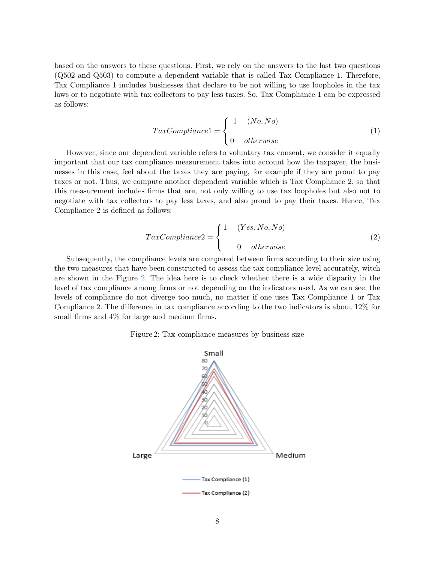based on the answers to these questions. First, we rely on the answers to the last two questions (Q502 and Q503) to compute a dependent variable that is called Tax Compliance 1. Therefore, Tax Compliance 1 includes businesses that declare to be not willing to use loopholes in the tax laws or to negotiate with tax collectors to pay less taxes. So, Tax Compliance 1 can be expressed as follows:

$$
TaxCompliance1 = \begin{cases} 1 & (No, No) \\ 0 & otherwise \end{cases}
$$
 (1)

However, since our dependent variable refers to voluntary tax consent, we consider it equally important that our tax compliance measurement takes into account how the taxpayer, the businesses in this case, feel about the taxes they are paying, for example if they are proud to pay taxes or not. Thus, we compute another dependent variable which is Tax Compliance 2, so that this measurement includes firms that are, not only willing to use tax loopholes but also not to negotiate with tax collectors to pay less taxes, and also proud to pay their taxes. Hence, Tax Compliance 2 is defined as follows:

$$
TaxCompliance2 = \begin{cases} 1 & (Yes, No, No) \\ & 0 & otherwise \end{cases}
$$
 (2)

Subsequently, the compliance levels are compared between firms according to their size using the two measures that have been constructed to assess the tax compliance level accurately, witch are shown in the Figure [2.](#page-7-0) The idea here is to check whether there is a wide disparity in the level of tax compliance among firms or not depending on the indicators used. As we can see, the levels of compliance do not diverge too much, no matter if one uses Tax Compliance 1 or Tax Compliance 2. The difference in tax compliance according to the two indicators is about 12% for small firms and 4% for large and medium firms.

#### Figure 2: Tax compliance measures by business size

<span id="page-7-0"></span>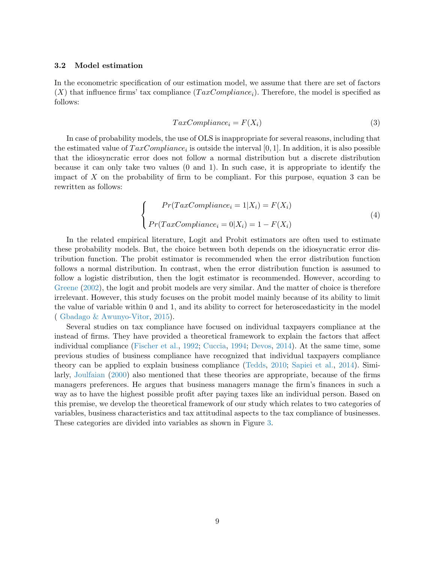### 3.2 Model estimation

In the econometric specification of our estimation model, we assume that there are set of factors  $(X)$  that influence firms' tax compliance  $(TaxCompliance_i)$ . Therefore, the model is specified as follows:

$$
TaxCompliance_i = F(X_i)
$$
\n(3)

In case of probability models, the use of OLS is inappropriate for several reasons, including that the estimated value of  $TaxCompliance_i$  is outside the interval [0, 1]. In addition, it is also possible that the idiosyncratic error does not follow a normal distribution but a discrete distribution because it can only take two values (0 and 1). In such case, it is appropriate to identify the impact of  $X$  on the probability of firm to be compliant. For this purpose, equation 3 can be rewritten as follows:

$$
\begin{cases}\nPr(TaxCompliance_i = 1|X_i) = F(X_i) \\
Pr(TaxCompliance_i = 0|X_i) = 1 - F(X_i)\n\end{cases}
$$
\n(4)

In the related empirical literature, Logit and Probit estimators are often used to estimate these probability models. But, the choice between both depends on the idiosyncratic error distribution function. The probit estimator is recommended when the error distribution function follows a normal distribution. In contrast, when the error distribution function is assumed to follow a logistic distribution, then the logit estimator is recommended. However, according to [Greene](#page-21-13) [\(2002\)](#page-21-13), the logit and probit models are very similar. And the matter of choice is therefore irrelevant. However, this study focuses on the probit model mainly because of its ability to limit the value of variable within 0 and 1, and its ability to correct for heteroscedasticity in the model ( [Gbadago & Awunyo-Vitor,](#page-21-14) [2015\)](#page-21-14).

Several studies on tax compliance have focused on individual taxpayers compliance at the instead of firms. They have provided a theoretical framework to explain the factors that affect individual compliance [\(Fischer et al.,](#page-21-2) [1992;](#page-21-2) [Cuccia,](#page-21-3) [1994;](#page-21-3) [Devos,](#page-21-4) [2014\)](#page-21-4). At the same time, some previous studies of business compliance have recognized that individual taxpayers compliance theory can be applied to explain business compliance [\(Tedds,](#page-22-11) [2010;](#page-22-11) [Sapiei et al.,](#page-22-12) [2014\)](#page-22-12). Similarly, [Joulfaian](#page-21-15) [\(2000\)](#page-21-15) also mentioned that these theories are appropriate, because of the firms managers preferences. He argues that business managers manage the firm's finances in such a way as to have the highest possible profit after paying taxes like an individual person. Based on this premise, we develop the theoretical framework of our study which relates to two categories of variables, business characteristics and tax attitudinal aspects to the tax compliance of businesses. These categories are divided into variables as shown in Figure [3.](#page-9-0)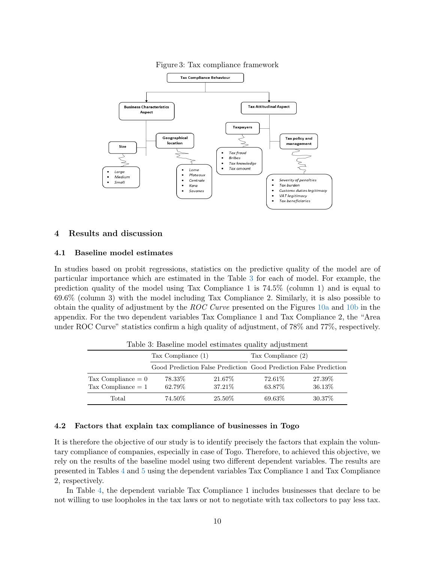

<span id="page-9-0"></span>

#### 4 Results and discussion

#### 4.1 Baseline model estimates

In studies based on probit regressions, statistics on the predictive quality of the model are of particular importance which are estimated in the Table [3](#page-9-1) for each of model. For example, the prediction quality of the model using Tax Compliance 1 is 74.5% (column 1) and is equal to 69.6% (column 3) with the model including Tax Compliance 2. Similarly, it is also possible to obtain the quality of adjustment by the ROC Curve presented on the Figures [10a](#page-24-0) and [10b](#page-24-0) in the appendix. For the two dependent variables Tax Compliance 1 and Tax Compliance 2, the "Area under ROC Curve" statistics confirm a high quality of adjustment, of 78% and 77%, respectively.

<span id="page-9-1"></span>

|                                              | Tax Compliance $(1)$ |                   | Tax Compliance (2) |                                                                   |
|----------------------------------------------|----------------------|-------------------|--------------------|-------------------------------------------------------------------|
|                                              |                      |                   |                    | Good Prediction False Prediction Good Prediction False Prediction |
| Tax Compliance $= 0$<br>Tax Compliance $= 1$ | 78.33%<br>62.79%     | 21.67%<br>37.21\% | 72.61\%<br>63.87%  | 27.39\%<br>36.13\%                                                |
| Total                                        | 74.50%               | 25.50%            | 69.63%             | 30.37\%                                                           |

Table 3: Baseline model estimates quality adjustment

# 4.2 Factors that explain tax compliance of businesses in Togo

It is therefore the objective of our study is to identify precisely the factors that explain the voluntary compliance of companies, especially in case of Togo. Therefore, to achieved this objective, we rely on the results of the baseline model using two different dependent variables. The results are presented in Tables [4](#page-13-0) and [5](#page-13-0) using the dependent variables Tax Compliance 1 and Tax Compliance 2, respectively.

In Table [4,](#page-13-0) the dependent variable Tax Compliance 1 includes businesses that declare to be not willing to use loopholes in the tax laws or not to negotiate with tax collectors to pay less tax.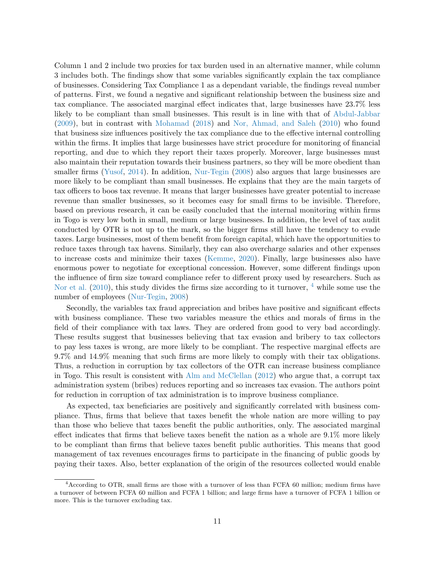Column 1 and 2 include two proxies for tax burden used in an alternative manner, while column 3 includes both. The findings show that some variables significantly explain the tax compliance of businesses. Considering Tax Compliance 1 as a dependant variable, the findings reveal number of patterns. First, we found a negative and significant relationship between the business size and tax compliance. The associated marginal effect indicates that, large businesses have 23.7% less likely to be compliant than small businesses. This result is in line with that of [Abdul-Jabbar](#page-21-16) [\(2009\)](#page-21-16), but in contrast with [Mohamad](#page-22-13) [\(2018\)](#page-22-13) and [Nor, Ahmad, and Saleh](#page-22-14) [\(2010\)](#page-22-14) who found that business size influences positively the tax compliance due to the effective internal controlling within the firms. It implies that large businesses have strict procedure for monitoring of financial reporting, and due to which they report their taxes properly. Moreover, large businesses must also maintain their reputation towards their business partners, so they will be more obedient than smaller firms [\(Yusof,](#page-22-15) [2014\)](#page-22-15). In addition, [Nur-Tegin](#page-22-16) [\(2008\)](#page-22-16) also argues that large businesses are more likely to be compliant than small businesses. He explains that they are the main targets of tax officers to boos tax revenue. It means that larger businesses have greater potential to increase revenue than smaller businesses, so it becomes easy for small firms to be invisible. Therefore, based on previous research, it can be easily concluded that the internal monitoring within firms in Togo is very low both in small, medium or large businesses. In addition, the level of tax audit conducted by OTR is not up to the mark, so the bigger firms still have the tendency to evade taxes. Large businesses, most of them benefit from foreign capital, which have the opportunities to reduce taxes through tax havens. Similarly, they can also overcharge salaries and other expenses to increase costs and minimize their taxes [\(Kemme,](#page-21-17) [2020\)](#page-21-17). Finally, large businesses also have enormous power to negotiate for exceptional concession. However, some different findings upon the influence of firm size toward compliance refer to different proxy used by researchers. Such as [Nor et al.](#page-22-14) [\(2010\)](#page-22-14), this study divides the firms size according to it turnover, <sup>[4](#page-0-0)</sup> while some use the number of employees [\(Nur-Tegin,](#page-22-16) [2008\)](#page-22-16)

Secondly, the variables tax fraud appreciation and bribes have positive and significant effects with business compliance. These two variables measure the ethics and morals of firms in the field of their compliance with tax laws. They are ordered from good to very bad accordingly. These results suggest that businesses believing that tax evasion and bribery to tax collectors to pay less taxes is wrong, are more likely to be compliant. The respective marginal effects are 9.7% and 14.9% meaning that such firms are more likely to comply with their tax obligations. Thus, a reduction in corruption by tax collectors of the OTR can increase business compliance in Togo. This result is consistent with [Alm and McClellan](#page-21-10) [\(2012\)](#page-21-10) who argue that, a corrupt tax administration system (bribes) reduces reporting and so increases tax evasion. The authors point for reduction in corruption of tax administration is to improve business compliance.

As expected, tax beneficiaries are positively and significantly correlated with business compliance. Thus, firms that believe that taxes benefit the whole nation are more willing to pay than those who believe that taxes benefit the public authorities, only. The associated marginal effect indicates that firms that believe taxes benefit the nation as a whole are 9.1% more likely to be compliant than firms that believe taxes benefit public authorities. This means that good management of tax revenues encourages firms to participate in the financing of public goods by paying their taxes. Also, better explanation of the origin of the resources collected would enable

<sup>4</sup>According to OTR, small firms are those with a turnover of less than FCFA 60 million; medium firms have a turnover of between FCFA 60 million and FCFA 1 billion; and large firms have a turnover of FCFA 1 billion or more. This is the turnover excluding tax.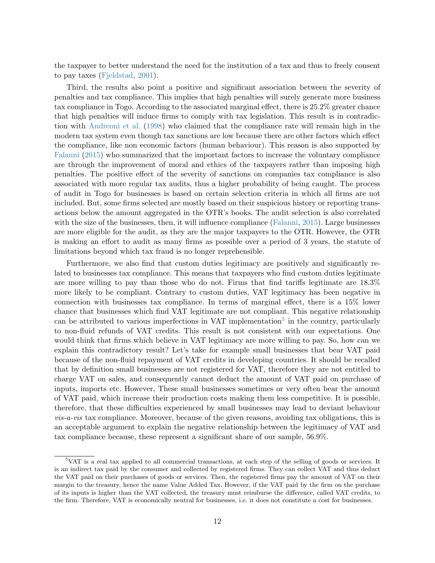the taxpayer to better understand the need for the institution of a tax and thus to freely consent to pay taxes [\(Fjeldstad,](#page-21-18) [2001\)](#page-21-18).

Third, the results also point a positive and significant association between the severity of penalties and tax compliance. This implies that high penalties will surely generate more business tax compliance in Togo. According to the associated marginal effect, there is 25.2% greater chance that high penalties will induce firms to comply with tax legislation. This result is in contradiction with [Andreoni et al.](#page-21-19) [\(1998\)](#page-21-19) who claimed that the compliance rate will remain high in the modern tax system even though tax sanctions are low because there are other factors which effect the compliance, like non economic factors (human behaviour). This reason is also supported by [Falanni](#page-21-20) [\(2015\)](#page-21-20) who summarized that the important factors to increase the voluntary compliance are through the improvement of moral and ethics of the taxpayers rather than imposing high penalties. The positive effect of the severity of sanctions on companies tax compliance is also associated with more regular tax audits, thus a higher probability of being caught. The process of audit in Togo for businesses is based on certain selection criteria in which all firms are not included. But, some firms selected are mostly based on their suspicious history or reporting transactions below the amount aggregated in the OTR's books. The audit selection is also correlated with the size of the businesses, then, it will influence compliance [\(Falanni,](#page-21-20) [2015\)](#page-21-20). Large businesses are more eligible for the audit, as they are the major taxpayers to the OTR. However, the OTR is making an effort to audit as many firms as possible over a period of 3 years, the statute of limitations beyond which tax fraud is no longer reprehensible.

Furthermore, we also find that custom duties legitimacy are positively and significantly related to businesses tax compliance. This means that taxpayers who find custom duties legitimate are more willing to pay than those who do not. Firms that find tariffs legitimate are 18.3% more likely to be compliant. Contrary to custom duties, VAT legitimacy has been negative in connection with businesses tax compliance. In terms of marginal effect, there is a 15% lower chance that businesses which find VAT legitimate are not compliant. This negative relationship can be attributed to various imperfections in VAT implementation<sup>[5](#page-0-0)</sup> in the country, particularly to non-fluid refunds of VAT credits. This result is not consistent with our expectations. One would think that firms which believe in VAT legitimacy are more willing to pay. So, how can we explain this contradictory result? Let's take for example small businesses that bear VAT paid because of the non-fluid repayment of VAT credits in developing countries. It should be recalled that by definition small businesses are not registered for VAT, therefore they are not entitled to charge VAT on sales, and consequently cannot deduct the amount of VAT paid on purchase of inputs, imports etc. However, These small businesses sometimes or very often bear the amount of VAT paid, which increase their production costs making them less competitive. It is possible, therefore, that these difficulties experienced by small businesses may lead to deviant behaviour vis-a-vis tax compliance. Moreover, because of the given reasons, avoiding tax obligations, this is an acceptable argument to explain the negative relationship between the legitimacy of VAT and tax compliance because, these represent a significant share of our sample, 56.9%.

<sup>5</sup>VAT is a real tax applied to all commercial transactions, at each step of the selling of goods or services. It is an indirect tax paid by the consumer and collected by registered firms. They can collect VAT and thus deduct the VAT paid on their purchases of goods or services. Then, the registered firms pay the amount of VAT on their margin to the treasury, hence the name Value Added Tax. However, if the VAT paid by the firm on the purchase of its inputs is higher than the VAT collected, the treasury must reimburse the difference, called VAT credits, to the firm. Therefore, VAT is economically neutral for businesses, i.e. it does not constitute a cost for businesses.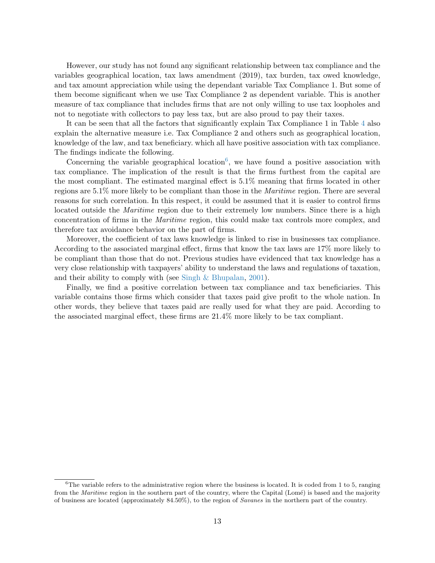However, our study has not found any significant relationship between tax compliance and the variables geographical location, tax laws amendment (2019), tax burden, tax owed knowledge, and tax amount appreciation while using the dependant variable Tax Compliance 1. But some of them become significant when we use Tax Compliance 2 as dependent variable. This is another measure of tax compliance that includes firms that are not only willing to use tax loopholes and not to negotiate with collectors to pay less tax, but are also proud to pay their taxes.

It can be seen that all the factors that significantly explain Tax Compliance 1 in Table [4](#page-13-0) also explain the alternative measure i.e. Tax Compliance 2 and others such as geographical location, knowledge of the law, and tax beneficiary. which all have positive association with tax compliance. The findings indicate the following.

Concerning the variable geographical location<sup>[6](#page-0-0)</sup>, we have found a positive association with tax compliance. The implication of the result is that the firms furthest from the capital are the most compliant. The estimated marginal effect is 5.1% meaning that firms located in other regions are 5.1% more likely to be compliant than those in the Maritime region. There are several reasons for such correlation. In this respect, it could be assumed that it is easier to control firms located outside the *Maritime* region due to their extremely low numbers. Since there is a high concentration of firms in the Maritime region, this could make tax controls more complex, and therefore tax avoidance behavior on the part of firms.

Moreover, the coefficient of tax laws knowledge is linked to rise in businesses tax compliance. According to the associated marginal effect, firms that know the tax laws are 17% more likely to be compliant than those that do not. Previous studies have evidenced that tax knowledge has a very close relationship with taxpayers' ability to understand the laws and regulations of taxation, and their ability to comply with (see [Singh & Bhupalan,](#page-22-17) [2001\)](#page-22-17).

Finally, we find a positive correlation between tax compliance and tax beneficiaries. This variable contains those firms which consider that taxes paid give profit to the whole nation. In other words, they believe that taxes paid are really used for what they are paid. According to the associated marginal effect, these firms are 21.4% more likely to be tax compliant.

 ${}^{6}$ The variable refers to the administrative region where the business is located. It is coded from 1 to 5, ranging from the *Maritime* region in the southern part of the country, where the Capital (Lomé) is based and the majority of business are located (approximately 84.50%), to the region of Savanes in the northern part of the country.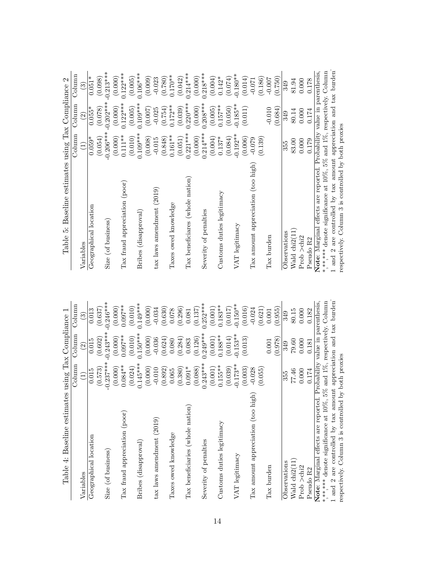| Baseline estimates using Tax Compliance 2<br>Table 5:               |             |                    |                                   |
|---------------------------------------------------------------------|-------------|--------------------|-----------------------------------|
|                                                                     | Column      | Column             | Column                            |
| Variables                                                           | Ξ           | $\widehat{\Omega}$ | ව                                 |
| Geographical location                                               | $0.059*$    | $0.055*$           | $0.051*$                          |
|                                                                     | (0.054)     | (0.078)            | (0.098)                           |
| Size (of business)                                                  | $-0.206***$ | $-0.202***$        | $-0.213***$                       |
|                                                                     | (0.000)     | (0.000)            | (0.000)                           |
| Tax fraud appreciation (poor)                                       | $0.111***$  | $0.122***$         | $0.122***$                        |
|                                                                     | (0.010)     | (0.005)            | (0.005)                           |
| Bribes (disapproval)                                                | $0.109***$  | $0.109***$         | $0.106***$                        |
|                                                                     | (0.008)     | (0.007)            | (0.009)                           |
| tax laws amendment (2019)                                           | $-0.015$    | $-0.025$           | $-0.023$                          |
|                                                                     | (0.848)     | (0.754)            | (0.780)                           |
| Taxes owed knowledge                                                | $0.161***$  | $0.172**$          | $0.170**$                         |
|                                                                     | (0.051)     | (0.039)            | (0.042)                           |
| Tax beneficiares (whole nation)                                     | $0.221***$  | $0.220***$         | $0.214***$                        |
|                                                                     | (0.000)     | (0.000)            | (0.000)                           |
| Severity of penalties                                               | $0.214***$  | $0.208***$         | $0.218***$                        |
|                                                                     | (0.004)     | (0.005)            | (0.004)                           |
| Customs duties legitimacy                                           | $0.137*$    | $0.157***$         | $0.142*$                          |
|                                                                     | (0.084)     | (0.050)            | (0.074)                           |
| VAT legitimacy                                                      | $-0.192**$  | $-0.185**$         | $-0.180**$                        |
|                                                                     | (0.006)     | (0.011)            | (0.014)                           |
| Tax amount appreciation (too high)                                  | $-0.079$    |                    | $-0.071$                          |
|                                                                     | (0.139)     |                    | (0.186)                           |
| Tax burden                                                          |             | $-0.010$           | $-0.007$                          |
|                                                                     |             | (0.684)            | (0.750)                           |
| Observations                                                        | 355         | 349                | 349                               |
| Wald chi <sub>2</sub> (11                                           | 83.00       | 80.14              | 81.94                             |
| Prob $>$ chi <sup>2</sup>                                           | 0.000       | 0.000              | 0.000                             |
| Pseudo R2                                                           | 0.179       | 0.174              | 0.178                             |
| Note: Marginal effects are reported.                                |             |                    | Probability value in parenthesis, |
| ******* denote significance at 10%, 5% and 1%, respectively. Column |             |                    |                                   |
| and 2 are controlled by tax amount appreciation and tax burden      |             |                    |                                   |
| respectively. Column 3 is controlled by both proxies                |             |                    |                                   |
|                                                                     |             |                    |                                   |

<span id="page-13-0"></span>

| Variables                          | Column                | $_{\rm Column}$          | $_{\rm {Column}}$     |
|------------------------------------|-----------------------|--------------------------|-----------------------|
|                                    | Ξ                     | $\widehat{\mathfrak{S}}$ | ్                     |
| Geographical location              | 0.015                 | 0.015                    | 0.013                 |
|                                    | (0.573)               | (0.602)                  | (0.637)               |
| (of business)<br>Size              | $-0.237***$           | $0.243***$               | $-0.246***$           |
| Tax fraud appreciation (poor)      | $0.084***$<br>(0.000) | $0.097**$<br>(0.000)     | $0.097***$<br>(0.000) |
|                                    | (0.024)               | (0.010)                  | (0.010)               |
| (disapproval)<br><b>Bribes</b>     | $0.145***$<br>(0.000) | $0.150***$<br>(0.000)    | $0.149***$<br>(0.000) |
| amendment (2019)<br>tax laws       | $-0.010$              | $-0.036$                 | $-0.034$              |
|                                    | (0.892)               | (0.624)                  | (0.630)               |
| Taxes owed knowledge               | 0.065                 | 0.080                    | 0.078                 |
|                                    | (0.380)               | (0.284)                  | (0.296)               |
| Tax beneficiaries (whole nation)   | $0.091*$              | 0.083                    | 0.081                 |
| Severity of penalties              | $0.243***$<br>(0.088) | $0.249***$<br>(0.126)    | $0.252***$<br>(0.137) |
|                                    | (0.001)               | (0.001)                  | (0.001)               |
| duties legitimacy<br>Customs       | $0.155***$            | $0.188**$                | $0.183**$             |
|                                    | (0.039)               | (0.014)                  | (0.017)               |
| VAT legitimacy                     | $-0.173**$            | $-0.153**$               | $-0.150**$            |
|                                    | (0.003)               | (0.013)                  | (0.016)               |
| Tax amount appreciation (too high) | $-0.028$              |                          | $-0.024$              |
|                                    | (0.055)               |                          | (0.621)               |
| Tax burden                         |                       | 0.001                    | 0.001                 |
|                                    |                       | (0.978)                  | (0.955)               |
| Observations                       | 355                   | 349                      | 349                   |
| Wald chi2(11)                      | 77.46                 | 79.60                    | 80.15                 |
| Prob >chi2                         | 0.000                 | 0.000                    | 0.000                 |
| Pseudo R2                          | 0.174                 | 0.181                    | 0.182                 |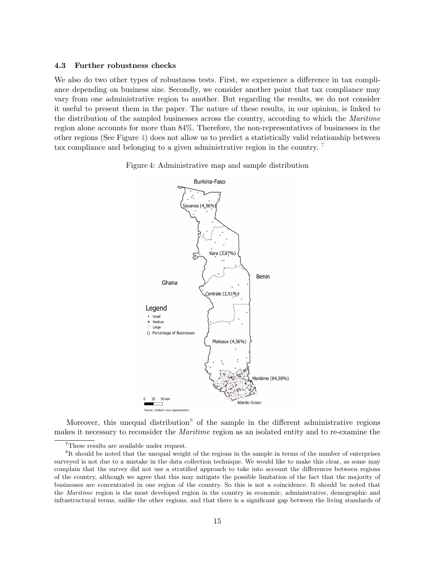#### 4.3 Further robustness checks

We also do two other types of robustness tests. First, we experience a difference in tax compliance depending on business size. Secondly, we consider another point that tax compliance may vary from one administrative region to another. But regarding the results, we do not consider it useful to present them in the paper. The nature of these results, in our opinion, is linked to the distribution of the sampled businesses across the country, according to which the Maritime region alone accounts for more than 84%. Therefore, the non-representatives of businesses in the other regions (See Figure [4\)](#page-14-0) does not allow us to predict a statistically valid relationship between tax compliance and belonging to a given administrative region in the country. [7](#page-0-0)

<span id="page-14-0"></span>



Moreover, this unequal distribution<sup>[8](#page-0-0)</sup> of the sample in the different administrative regions makes it necessary to reconsider the Maritime region as an isolated entity and to re-examine the

<sup>7</sup>These results are available under request.

<sup>&</sup>lt;sup>8</sup>It should be noted that the unequal weight of the regions in the sample in terms of the number of enterprises surveyed is not due to a mistake in the data collection technique. We would like to make this clear, as some may complain that the survey did not use a stratified approach to take into account the differences between regions of the country, although we agree that this may mitigate the possible limitation of the fact that the majority of businesses are concentrated in one region of the country. So this is not a coincidence. It should be noted that the Maritime region is the most developed region in the country in economic, administrative, demographic and infrastructural terms, unlike the other regions, and that there is a significant gap between the living standards of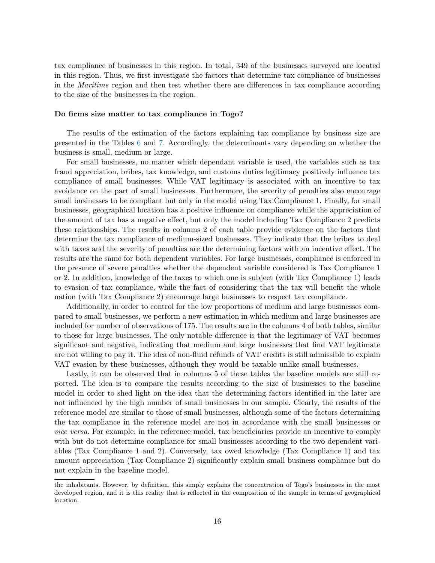tax compliance of businesses in this region. In total, 349 of the businesses surveyed are located in this region. Thus, we first investigate the factors that determine tax compliance of businesses in the Maritime region and then test whether there are differences in tax compliance according to the size of the businesses in the region.

#### Do firms size matter to tax compliance in Togo?

The results of the estimation of the factors explaining tax compliance by business size are presented in the Tables [6](#page-16-0) and [7.](#page-16-0) Accordingly, the determinants vary depending on whether the business is small, medium or large.

For small businesses, no matter which dependant variable is used, the variables such as tax fraud appreciation, bribes, tax knowledge, and customs duties legitimacy positively influence tax compliance of small businesses. While VAT legitimacy is associated with an incentive to tax avoidance on the part of small businesses. Furthermore, the severity of penalties also encourage small businesses to be compliant but only in the model using Tax Compliance 1. Finally, for small businesses, geographical location has a positive influence on compliance while the appreciation of the amount of tax has a negative effect, but only the model including Tax Compliance 2 predicts these relationships. The results in columns 2 of each table provide evidence on the factors that determine the tax compliance of medium-sized businesses. They indicate that the bribes to deal with taxes and the severity of penalties are the determining factors with an incentive effect. The results are the same for both dependent variables. For large businesses, compliance is enforced in the presence of severe penalties whether the dependent variable considered is Tax Compliance 1 or 2. In addition, knowledge of the taxes to which one is subject (with Tax Compliance 1) leads to evasion of tax compliance, while the fact of considering that the tax will benefit the whole nation (with Tax Compliance 2) encourage large businesses to respect tax compliance.

Additionally, in order to control for the low proportions of medium and large businesses compared to small businesses, we perform a new estimation in which medium and large businesses are included for number of observations of 175. The results are in the columns 4 of both tables, similar to those for large businesses. The only notable difference is that the legitimacy of VAT becomes significant and negative, indicating that medium and large businesses that find VAT legitimate are not willing to pay it. The idea of non-fluid refunds of VAT credits is still admissible to explain VAT evasion by these businesses, although they would be taxable unlike small businesses.

Lastly, it can be observed that in columns 5 of these tables the baseline models are still reported. The idea is to compare the results according to the size of businesses to the baseline model in order to shed light on the idea that the determining factors identified in the later are not influenced by the high number of small businesses in our sample. Clearly, the results of the reference model are similar to those of small businesses, although some of the factors determining the tax compliance in the reference model are not in accordance with the small businesses or vice versa. For example, in the reference model, tax beneficiaries provide an incentive to comply with but do not determine compliance for small businesses according to the two dependent variables (Tax Compliance 1 and 2). Conversely, tax owed knowledge (Tax Compliance 1) and tax amount appreciation (Tax Compliance 2) significantly explain small business compliance but do not explain in the baseline model.

the inhabitants. However, by definition, this simply explains the concentration of Togo's businesses in the most developed region, and it is this reality that is reflected in the composition of the sample in terms of geographical location.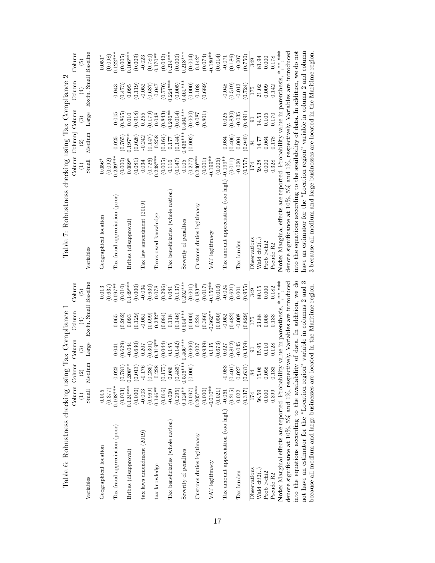<span id="page-16-0"></span>

| Table 6: Robustness checking using                                               |                       |                                       | Tax Compliance      |                            |                           | Table 7: Robustness checking using                                                |                     |                                         |                  | 2<br>Tax Compliance   |                         |
|----------------------------------------------------------------------------------|-----------------------|---------------------------------------|---------------------|----------------------------|---------------------------|-----------------------------------------------------------------------------------|---------------------|-----------------------------------------|------------------|-----------------------|-------------------------|
|                                                                                  | $\widehat{E}$         | Column Column Column<br>$\widehat{c}$ | $\odot$             | Column<br>$\left(4\right)$ | Column<br>$\widetilde{5}$ |                                                                                   | $\widehat{\Xi}$     | Column Column Column<br>$\widetilde{2}$ | $\odot$          | Column<br>$(\pm)$     | Column<br>$\widehat{5}$ |
| Variables                                                                        | Small                 | Medium                                | Large               | Exclu. Small Baseline      |                           | Variables                                                                         | Small               | Medium                                  | Large            | Exclu. Small Baseline |                         |
| Geographical location                                                            | 0.015                 |                                       |                     |                            | 0.013                     | Geographical location                                                             | $0.056*$            |                                         |                  |                       | $0.051*$                |
|                                                                                  | (0.377)               |                                       |                     |                            | (0.637)                   |                                                                                   | (0.092)             |                                         |                  |                       | (0.098)                 |
| Tax fraud appreciation (poor)                                                    | $0.108***$            | 0.023                                 | 0.041               | 0.065                      | $0.097**$                 | Tax fraud appreciation (poor)                                                     | $0.239***$          | 0.025                                   | $-0.015$         | 0.043                 | $0.122***$              |
|                                                                                  | $0.124***$<br>(0.003) | $(0.781)$<br>$0.208**$                | (0.629)<br>$-0.044$ | (0.262)<br>0.093           | $0.149***$<br>(0.010)     |                                                                                   | (0.000)<br>$0.089*$ | $0.197***$<br>(0.765)                   | (0.865)<br>0.010 | (0.473)<br>0.095      | $(0.005)$<br>0.106***   |
| Bribes (disapproval)                                                             | (0.000)               | (0.013)                               | (0.630)             | (0.129)                    | (0.000)                   | Bribes (disapproval)                                                              | (0.081)             | (0.026)                                 | (0.918)          | (0.119)               | (0.009)                 |
| tax laws amendment (2019)                                                        | $-0.003$              | $-0.176$                              | 0.207               | $-0.051$                   | $-0.034$                  | $\text{Tax law}$ amendment $(2019)$                                               | 0.034               | $-0.242$                                | 0.255            | $-0.052$              | $-0.023$                |
|                                                                                  | (0.969)               | $(0.286)$<br>-0.228                   | (0.301)             | (0.699)                    | (0.630)                   |                                                                                   | (0.726)             | (0.147)                                 | (0.179)          | (0.687)               | $(0.780)$<br>0.170**    |
| tax knowledge                                                                    | $0.146**$             |                                       | $-0.319**$          | $-0.232*$                  | 0.078                     | Taxes owed knowledge                                                              | $0.248***$          | $-0.258$                                | 0.048            | $-0.047$              |                         |
|                                                                                  | (0.016)               | (0.175)                               | (0.044)             | (0.084)                    | (0.296)                   |                                                                                   | (0.005)             | (0.164)                                 | (0.843)          | (0.776)               | (0.042)                 |
| Tax beneficiaries (whole nation)                                                 | $-0.060$              | 0.086                                 | 0.185               | 0.118                      | 0.081                     | Tax beneficiaries (whole nation)                                                  | 0.116               | 0.177                                   | $0.296***$       | $0.224***$            | $0.214***$              |
|                                                                                  | (0.295)               | (0.485)                               | (0.142)             | (0.146)                    | (0.137)                   |                                                                                   | (0.147)             | (0.144)                                 | (0.014)          | (0.005)               | $(0.000)$<br>0.218***   |
| Severity of penalties                                                            |                       | $0.124***$ 0.506***                   | $0.466***$          | $0.504***$                 | $0.252***$                | Severity of penalties                                                             | $0.105\,$           | $0.436***$                              | $0.464***$       | $0.461***$            |                         |
|                                                                                  | (0.097)               | (0.000)                               | (0.000)             | (0.000)                    | (0.001)                   |                                                                                   | (0.277)             | (0.002)                                 | (0.000)          | (0.000)               | $(0.004)$<br>0.142*     |
| Customs duties legitimacy                                                        | $0.205***$            |                                       | 0.027               | 0.224                      | $0.183**$                 | Customs duties legitimacy                                                         | $0.240***$          |                                         | $-0.087$         | 0.108                 |                         |
|                                                                                  | (0.000)               |                                       | (0.939)             | (0.386)                    | (0.017)                   |                                                                                   | (0.001)             |                                         | (0.801)          | (0.689)               | $(0.074)$<br>-0.180**   |
| VAT legitimacy                                                                   | $-0.010**$            |                                       | 0.135               | $0.362**$                  | $0.150**$                 | VAT legitimacy                                                                    | $-0.199**$          |                                         |                  |                       |                         |
|                                                                                  | (0.021)               |                                       | (0.673)             | (0.050)                    | (0.016)                   |                                                                                   | (0.005)             |                                         |                  |                       | (0.014)                 |
| Tax amount appreciation (too high)                                               | $-0.061$              | $-0.083$                              | 0.027               | $-0.052$                   | $-0.024$                  | Tax amount appreciation (too high)                                                | $-0.199**$          | 0.084                                   | 0.025            | $-0.048$              | $-0.071$                |
|                                                                                  | (0.215)               | (0.401)                               | (0.812)             | (0.482)                    | (0.621)                   |                                                                                   | (0.011)             | (0.406)                                 | (0.830)          | (0.519)               | (0.186)                 |
| Tax burden                                                                       | 0.022                 | 0.027                                 | $-0.045$            | $-0.008$                   | 0.001                     | Tax burden                                                                        | $-0.020$            | 0.004                                   | $-0.035$         | $-0.013$              | $-0.007$                |
|                                                                                  | (0.337)               | (0.631)                               | (0.359)             | (0.829)                    | (0.955)                   |                                                                                   | (0.557)             | (0.940)                                 | (0.491)          | (0.724)               | (0.750)                 |
| Observations                                                                     | 174                   | $\frac{8}{4}$                         | 5                   | 175                        | 349                       | Observations                                                                      | 174                 | 84                                      | 51               | 175                   | 349                     |
| Wald $\text{chi2}$ ()                                                            | 56.59                 | $15.06\,$                             | 15.95               | 23.88                      | 80.15                     | Wald $\text{chi2}$ ()                                                             | 59.28               | 14.77                                   | 14.53            | 21.02                 | 81.94                   |
| Prob >chi2                                                                       | 0.000                 | 0.058                                 | 0.110               | 0.008                      | 0.000                     | Prob >chi2                                                                        | 0.000               | 0.064                                   | 0.105            | 0.009                 | 0.000                   |
| Pseudo R2                                                                        | 0.399                 | 0.183                                 | 0.128               | 0.133                      | 0.182                     | Pseudo R2                                                                         | 0.328               | 0.178                                   | 0.170            | 0.142                 | 0.178                   |
| Note: Marginal effects are reported. Probability value in parenthesis, *,***,*** |                       |                                       |                     |                            |                           | Note: Marginal effects are reported. Probability value in parenthesis, *,**,*,*** |                     |                                         |                  |                       |                         |
| denote significance at 10%, 5% and 1%, respectively. Variables are introduced    |                       |                                       |                     |                            |                           | denote significance at 10%, 5% and 1%, respectively. Variables are introduced     |                     |                                         |                  |                       |                         |
| into the equations according to the availability of data. In addition, we do     |                       |                                       |                     |                            |                           | into the equations according to the availability of data. In addition, we do not  |                     |                                         |                  |                       |                         |
| not have an estimator for the "Location region" variable in columns 2 and 3      |                       |                                       |                     |                            |                           | have an estimator for the "Location region" variable in column 2 and column       |                     |                                         |                  |                       |                         |
| because all medium and large businesses are located in the Maritime region.      |                       |                                       |                     |                            |                           | 3 because all medium and large businesses are located in the Maritime region.     |                     |                                         |                  |                       |                         |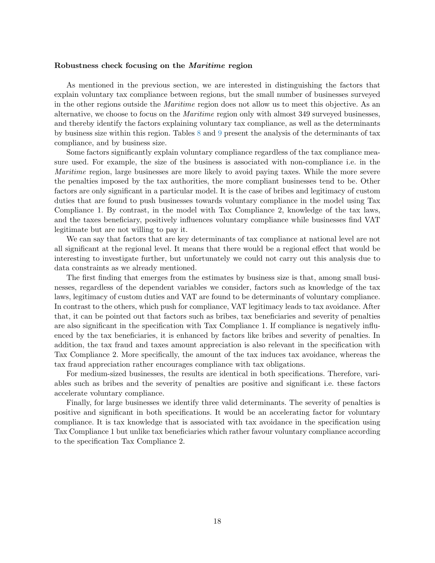#### Robustness check focusing on the Maritime region

As mentioned in the previous section, we are interested in distinguishing the factors that explain voluntary tax compliance between regions, but the small number of businesses surveyed in the other regions outside the Maritime region does not allow us to meet this objective. As an alternative, we choose to focus on the Maritime region only with almost 349 surveyed businesses, and thereby identify the factors explaining voluntary tax compliance, as well as the determinants by business size within this region. Tables [8](#page-18-0) and [9](#page-18-0) present the analysis of the determinants of tax compliance, and by business size.

Some factors significantly explain voluntary compliance regardless of the tax compliance measure used. For example, the size of the business is associated with non-compliance i.e. in the *Maritime* region, large businesses are more likely to avoid paying taxes. While the more severe the penalties imposed by the tax authorities, the more compliant businesses tend to be. Other factors are only significant in a particular model. It is the case of bribes and legitimacy of custom duties that are found to push businesses towards voluntary compliance in the model using Tax Compliance 1. By contrast, in the model with Tax Compliance 2, knowledge of the tax laws, and the taxes beneficiary, positively influences voluntary compliance while businesses find VAT legitimate but are not willing to pay it.

We can say that factors that are key determinants of tax compliance at national level are not all significant at the regional level. It means that there would be a regional effect that would be interesting to investigate further, but unfortunately we could not carry out this analysis due to data constraints as we already mentioned.

The first finding that emerges from the estimates by business size is that, among small businesses, regardless of the dependent variables we consider, factors such as knowledge of the tax laws, legitimacy of custom duties and VAT are found to be determinants of voluntary compliance. In contrast to the others, which push for compliance, VAT legitimacy leads to tax avoidance. After that, it can be pointed out that factors such as bribes, tax beneficiaries and severity of penalties are also significant in the specification with Tax Compliance 1. If compliance is negatively influenced by the tax beneficiaries, it is enhanced by factors like bribes and severity of penalties. In addition, the tax fraud and taxes amount appreciation is also relevant in the specification with Tax Compliance 2. More specifically, the amount of the tax induces tax avoidance, whereas the tax fraud appreciation rather encourages compliance with tax obligations.

For medium-sized businesses, the results are identical in both specifications. Therefore, variables such as bribes and the severity of penalties are positive and significant i.e. these factors accelerate voluntary compliance.

Finally, for large businesses we identify three valid determinants. The severity of penalties is positive and significant in both specifications. It would be an accelerating factor for voluntary compliance. It is tax knowledge that is associated with tax avoidance in the specification using Tax Compliance 1 but unlike tax beneficiaries which rather favour voluntary compliance according to the specification Tax Compliance 2.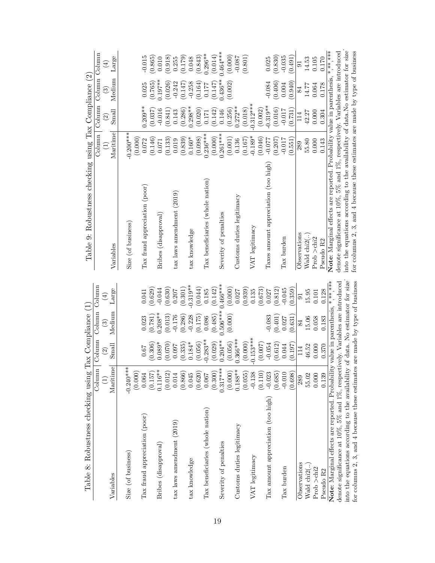<span id="page-18-0"></span>

| Table 8: Robustness checking using T                                            |                          | $\alpha$ Compliance $(1)$         |                                  |                                     | Table 9: Robustness checking using Tax Compliance (2)                          |                       |                                   |                       |                      |
|---------------------------------------------------------------------------------|--------------------------|-----------------------------------|----------------------------------|-------------------------------------|--------------------------------------------------------------------------------|-----------------------|-----------------------------------|-----------------------|----------------------|
|                                                                                 | Column                   | Column                            | Column                           | Column                              |                                                                                | Column                | Column Column Column              |                       |                      |
| Variables                                                                       | $\mathrm{Mariline}$<br>E | Small<br>$\widehat{\mathfrak{D}}$ | Medium<br>$\widehat{\mathbb{G}}$ | Large<br>$\bigoplus$                | Variables                                                                      | Maritime<br>Ξ         | Small<br>$\widehat{\mathfrak{D}}$ | Medium<br>$\odot$     | Large<br>$\bigoplus$ |
| Size (of business)                                                              | $-0.240***$              |                                   |                                  |                                     | Size (of business)                                                             | $-0.200***$           |                                   |                       |                      |
| Tax fraud appreciation (poor)                                                   | (0.000)<br>0.064         | 0.67                              | 0.023                            | 0.041                               | Tax fraud appreciation (poor)                                                  | (0.000)<br>0.072      | $0.209**$                         | 0.025                 | $-0.015$             |
| Bribes (disapproval)                                                            | $0.116**$<br>(0.157)     | (0.306)<br>$0.089*$               | $0.208**$<br>(0.781)             | (0.629)<br>$-0.044$                 | Bribes (disapproval)                                                           | (0.146)<br>0.071      | (0.037)<br>$-0.016$               | $0.197***$<br>(0.765) | (0.865)<br>0.010     |
| $\text{tax}$ laws amendment $(2019)$                                            | (0.012)<br>$0.014\,$     | (0.070)<br>0.097                  | (0.013)<br>$-0.176$              | (0.630)<br>0.207                    | tax laws amendment (2019)                                                      | (0.133)<br>0.019      | (0.841)<br>0.143                  | (0.026)<br>$-0.242$   | (0.918)<br>0.255     |
| tax knowledge                                                                   | (0.866)<br>0.045         | (0.335)<br>$0.184*$               | (0.286)<br>$-0.228$              | $-0.319**$<br>(0.301)               | tax knowledge                                                                  | $0.160*$<br>(0.839)   | $0.298**$<br>(0.286)              | $-0.258$<br>(0.147)   | (0.179)<br>0.048     |
|                                                                                 | (0.620)                  | (0.056)                           | (0.175)                          | (0.044)                             |                                                                                | (0.098)               | (0.020)                           | (0.164)               | (0.843)              |
| Tax beneficiaries (whole nation)                                                | (0.300)<br>0.067         | $-0.283**$<br>(0.029)             | (0.485)<br>0.086                 | (0.142)<br>0.185                    | Tax beneficiaries (whole nation)                                               | $0.236***$            | (0.142)<br>0.171                  | (0.147)<br>0.177      | $0.296**$<br>(0.014) |
| Severity of penalties                                                           | $0.317***$               | $0.204***$                        | 1.506***                         | $0.466***$                          | Severity of penalties                                                          | $(0.000)$<br>0.261*** | 0.146                             | $0.436**$             | $0.464***$           |
| Customs duties legitimacy                                                       | $0.188**$<br>(0.000)     | $0.366***$<br>(0.056)             | (0.000)                          | (0.000)<br>0.027                    | Customs duties legitimacy                                                      | (0.001)<br>0.136      | $0.272**$<br>(0.256)              | (0.002)               | (0.000)<br>$-0.087$  |
|                                                                                 | (0.055)                  | (0.000)                           |                                  | (0.939)                             |                                                                                | (0.167)               | (0.018)                           |                       | (0.801)              |
| VAT legitimacy                                                                  | $-0.138$                 | $-0.153***$                       |                                  | 0.135                               | VAT legitimacy                                                                 | $-0.189*$             | $-0.312***$                       |                       |                      |
|                                                                                 | (0.110)                  | (0.007)                           |                                  | (0.673)                             |                                                                                | (0.046)               | (0.002)                           |                       |                      |
| Tax amount appreciation (too high)                                              | $-0.023$                 | $-0.054$                          | $-0.083$                         | 0.027                               | Taxes amount appreciation (too high)                                           | $-0.077$              | $-0.319**$                        | $-0.084$              | 0.025                |
| Tax burden                                                                      | (0.685)<br>$-0.010$      | (0.612)<br>0.044                  | (0.401)<br>0.027                 | (0.812)<br>$-0.045$                 | Tax burden                                                                     | (0.207)<br>$-0.017$   | (0.016)<br>$-0.017$               | (0.406)<br>0.004      | (0.830)<br>$-0.035$  |
|                                                                                 | (0.698)                  | (0.197)                           | (0.631)                          | (0.359)                             |                                                                                | (0.551)               | (0.731)                           | (0.940)               | (0.491)              |
| Observations                                                                    | 289                      | 114                               | 84                               | $\overline{5}$                      | Observations                                                                   | 289                   | 114                               | 84                    | 5                    |
| Wald chi <sub>2</sub> ()                                                        | 55.02                    | 46.52                             | 15.06                            | 15.95                               | Wald $\mathrm{chi2}$ ()                                                        | 55.80                 | 42.27                             | 14.77                 | 14.53                |
| Prob $>$ chi $2$                                                                | 0.000                    | 0.000                             | 0.058                            | 0.101                               | Prob >chi2                                                                     | 0.000                 | 0.000                             | 0.064                 | 0.105                |
| Pseudo R2                                                                       | 0.139                    | 0.370                             | 0.183                            | 0.128                               | Pseudo R2                                                                      | 0.143                 | 0.304                             | 0.178                 | 0.170                |
| Note: Marginal effects are reported. Probability                                |                          |                                   |                                  | value in parenthesis, *, *** *, *** | Note: Marginal effects are reported. Probability value in parenthesis,         |                       |                                   |                       | *** ** *             |
| denote significance at 10%, 5% and 1%, respectively. Variables are introduced   |                          |                                   |                                  |                                     | denote significance at 10%, 5% and 1%, respectively. Variables are introduced  |                       |                                   |                       |                      |
| into the equations according to the availability of data. No estimator for size |                          |                                   |                                  |                                     | into the equations according to the availability of data.No estimator for size |                       |                                   |                       |                      |
| for columns 2, 3, and 4 because these estimates                                 |                          | are made by type of business      |                                  |                                     | for columns 2, 3, and 4 because these estimates are made by type of business   |                       |                                   |                       |                      |

|  | イン火火火           |
|--|-----------------|
|  | ¢<br>$\epsilon$ |
|  |                 |
|  |                 |
|  |                 |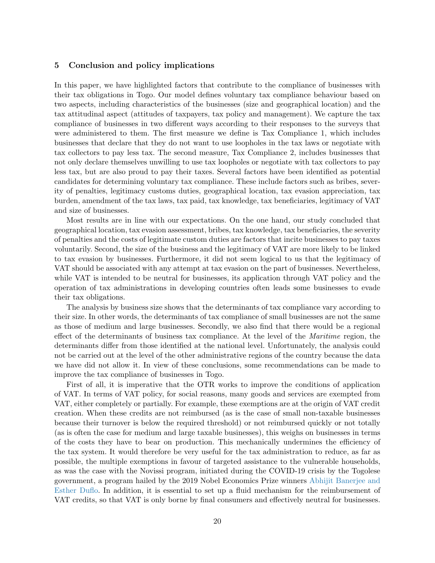# 5 Conclusion and policy implications

In this paper, we have highlighted factors that contribute to the compliance of businesses with their tax obligations in Togo. Our model defines voluntary tax compliance behaviour based on two aspects, including characteristics of the businesses (size and geographical location) and the tax attitudinal aspect (attitudes of taxpayers, tax policy and management). We capture the tax compliance of businesses in two different ways according to their responses to the surveys that were administered to them. The first measure we define is Tax Compliance 1, which includes businesses that declare that they do not want to use loopholes in the tax laws or negotiate with tax collectors to pay less tax. The second measure, Tax Compliance 2, includes businesses that not only declare themselves unwilling to use tax loopholes or negotiate with tax collectors to pay less tax, but are also proud to pay their taxes. Several factors have been identified as potential candidates for determining voluntary tax compliance. These include factors such as bribes, severity of penalties, legitimacy customs duties, geographical location, tax evasion appreciation, tax burden, amendment of the tax laws, tax paid, tax knowledge, tax beneficiaries, legitimacy of VAT and size of businesses.

Most results are in line with our expectations. On the one hand, our study concluded that geographical location, tax evasion assessment, bribes, tax knowledge, tax beneficiaries, the severity of penalties and the costs of legitimate custom duties are factors that incite businesses to pay taxes voluntarily. Second, the size of the business and the legitimacy of VAT are more likely to be linked to tax evasion by businesses. Furthermore, it did not seem logical to us that the legitimacy of VAT should be associated with any attempt at tax evasion on the part of businesses. Nevertheless, while VAT is intended to be neutral for businesses, its application through VAT policy and the operation of tax administrations in developing countries often leads some businesses to evade their tax obligations.

The analysis by business size shows that the determinants of tax compliance vary according to their size. In other words, the determinants of tax compliance of small businesses are not the same as those of medium and large businesses. Secondly, we also find that there would be a regional effect of the determinants of business tax compliance. At the level of the Maritime region, the determinants differ from those identified at the national level. Unfortunately, the analysis could not be carried out at the level of the other administrative regions of the country because the data we have did not allow it. In view of these conclusions, some recommendations can be made to improve the tax compliance of businesses in Togo.

First of all, it is imperative that the OTR works to improve the conditions of application of VAT. In terms of VAT policy, for social reasons, many goods and services are exempted from VAT, either completely or partially. For example, these exemptions are at the origin of VAT credit creation. When these credits are not reimbursed (as is the case of small non-taxable businesses because their turnover is below the required threshold) or not reimbursed quickly or not totally (as is often the case for medium and large taxable businesses), this weighs on businesses in terms of the costs they have to bear on production. This mechanically undermines the efficiency of the tax system. It would therefore be very useful for the tax administration to reduce, as far as possible, the multiple exemptions in favour of targeted assistance to the vulnerable households, as was the case with the Novissi program, initiated during the COVID-19 crisis by the Togolese government, a program hailed by the 2019 Nobel Economics Prize winners [Abhijit Banerjee and](https://urlz.fr/hmqE) [Esther Duflo.](https://urlz.fr/hmqE) In addition, it is essential to set up a fluid mechanism for the reimbursement of VAT credits, so that VAT is only borne by final consumers and effectively neutral for businesses.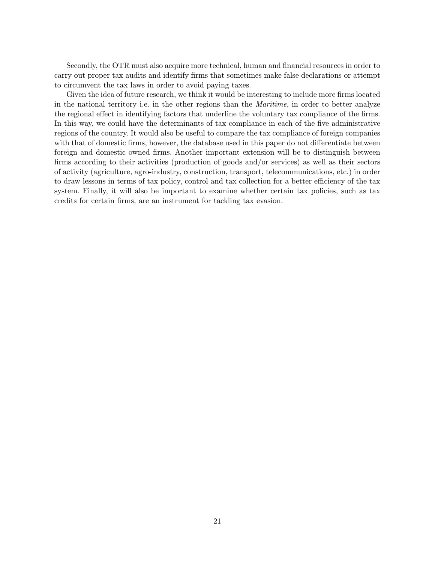Secondly, the OTR must also acquire more technical, human and financial resources in order to carry out proper tax audits and identify firms that sometimes make false declarations or attempt to circumvent the tax laws in order to avoid paying taxes.

Given the idea of future research, we think it would be interesting to include more firms located in the national territory i.e. in the other regions than the Maritime, in order to better analyze the regional effect in identifying factors that underline the voluntary tax compliance of the firms. In this way, we could have the determinants of tax compliance in each of the five administrative regions of the country. It would also be useful to compare the tax compliance of foreign companies with that of domestic firms, however, the database used in this paper do not differentiate between foreign and domestic owned firms. Another important extension will be to distinguish between firms according to their activities (production of goods and/or services) as well as their sectors of activity (agriculture, agro-industry, construction, transport, telecommunications, etc.) in order to draw lessons in terms of tax policy, control and tax collection for a better efficiency of the tax system. Finally, it will also be important to examine whether certain tax policies, such as tax credits for certain firms, are an instrument for tackling tax evasion.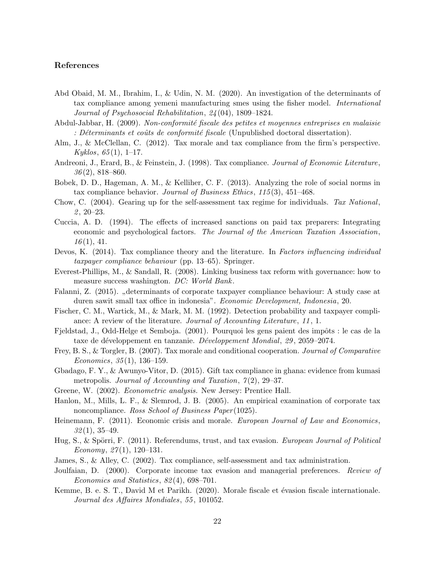# References

- <span id="page-21-11"></span>Abd Obaid, M. M., Ibrahim, I., & Udin, N. M. (2020). An investigation of the determinants of tax compliance among yemeni manufacturing smes using the fisher model. International Journal of Psychosocial Rehabilitation, 24 (04), 1809–1824.
- <span id="page-21-16"></span>Abdul-Jabbar, H. (2009). Non-conformité fiscale des petites et moyennes entreprises en malaisie : Déterminants et coûts de conformité fiscale (Unpublished doctoral dissertation).
- <span id="page-21-10"></span>Alm, J., & McClellan, C. (2012). Tax morale and tax compliance from the firm's perspective.  $Kyklos, 65(1), 1-17.$
- <span id="page-21-19"></span>Andreoni, J., Erard, B., & Feinstein, J. (1998). Tax compliance. Journal of Economic Literature,  $36(2)$ , 818–860.
- <span id="page-21-8"></span>Bobek, D. D., Hageman, A. M., & Kelliher, C. F. (2013). Analyzing the role of social norms in tax compliance behavior. Journal of Business Ethics, 115 (3), 451–468.
- <span id="page-21-1"></span>Chow, C. (2004). Gearing up for the self-assessment tax regime for individuals. Tax National,  $2, 20-23.$
- <span id="page-21-3"></span>Cuccia, A. D. (1994). The effects of increased sanctions on paid tax preparers: Integrating economic and psychological factors. The Journal of the American Taxation Association,  $16(1), 41.$
- <span id="page-21-4"></span>Devos, K. (2014). Tax compliance theory and the literature. In Factors influencing individual taxpayer compliance behaviour (pp. 13–65). Springer.
- <span id="page-21-12"></span>Everest-Phillips, M., & Sandall, R. (2008). Linking business tax reform with governance: how to measure success washington. DC: World Bank.
- <span id="page-21-20"></span>Falanni, Z. (2015). "determinants of corporate taxpayer compliance behaviour: A study case at duren sawit small tax office in indonesia". Economic Development, Indonesia, 20.
- <span id="page-21-2"></span>Fischer, C. M., Wartick, M., & Mark, M. M. (1992). Detection probability and taxpayer compliance: A review of the literature. *Journal of Accounting Literature*, 11, 1.
- <span id="page-21-18"></span>Fjeldstad, J., Odd-Helge et Semboja. (2001). Pourquoi les gens paient des impôts : le cas de la taxe de développement en tanzanie. Développement Mondial, 29, 2059–2074.
- <span id="page-21-7"></span>Frey, B. S., & Torgler, B. (2007). Tax morale and conditional cooperation. Journal of Comparative  $Economics, 35(1), 136-159.$
- <span id="page-21-14"></span>Gbadago, F. Y., & Awunyo-Vitor, D. (2015). Gift tax compliance in ghana: evidence from kumasi metropolis. Journal of Accounting and Taxation,  $7(2)$ , 29–37.
- <span id="page-21-13"></span>Greene, W. (2002). Econometric analysis. New Jersey: Prentice Hall.
- <span id="page-21-9"></span>Hanlon, M., Mills, L. F., & Slemrod, J. B. (2005). An empirical examination of corporate tax noncompliance. Ross School of Business Paper (1025).
- <span id="page-21-5"></span>Heinemann, F. (2011). Economic crisis and morale. *European Journal of Law and Economics*,  $32(1), 35-49.$
- <span id="page-21-6"></span>Hug, S., & Spörri, F. (2011). Referendums, trust, and tax evasion. *European Journal of Political* Economy,  $27(1)$ , 120-131.
- <span id="page-21-0"></span>James, S., & Alley, C. (2002). Tax compliance, self-assessment and tax administration.
- <span id="page-21-15"></span>Joulfaian, D. (2000). Corporate income tax evasion and managerial preferences. Review of Economics and Statistics, 82 (4), 698–701.
- <span id="page-21-17"></span>Kemme, B. e. S. T., David M et Parikh. (2020). Morale fiscale et évasion fiscale internationale. Journal des Affaires Mondiales, 55 , 101052.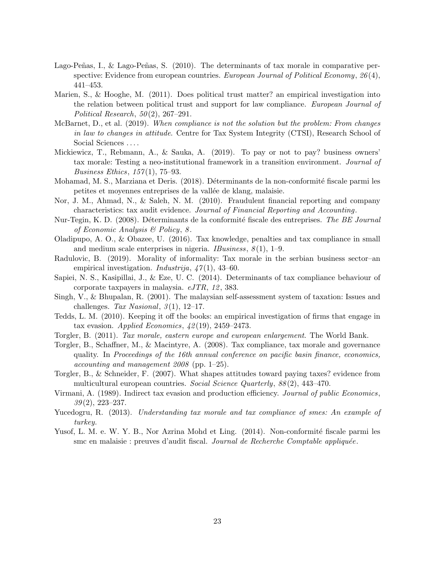- <span id="page-22-5"></span>Lago-Peñas, I., & Lago-Peñas, S.  $(2010)$ . The determinants of tax morale in comparative perspective: Evidence from european countries. *European Journal of Political Economy*,  $26(4)$ , 441–453.
- <span id="page-22-4"></span>Marien, S., & Hooghe, M. (2011). Does political trust matter? an empirical investigation into the relation between political trust and support for law compliance. European Journal of Political Research,  $50(2)$ ,  $267-291$ .
- <span id="page-22-0"></span>McBarnet, D., et al. (2019). When compliance is not the solution but the problem: From changes in law to changes in attitude. Centre for Tax System Integrity (CTSI), Research School of Social Sciences . . . .
- <span id="page-22-9"></span>Mickiewicz, T., Rebmann, A., & Sauka, A. (2019). To pay or not to pay? business owners' tax morale: Testing a neo-institutional framework in a transition environment. Journal of Business Ethics,  $157(1)$ , 75-93.
- <span id="page-22-13"></span>Mohamad, M. S., Marziana et Deris. (2018). Déterminants de la non-conformité fiscale parmi les petites et moyennes entreprises de la vallée de klang, malaisie.
- <span id="page-22-14"></span>Nor, J. M., Ahmad, N., & Saleh, N. M. (2010). Fraudulent financial reporting and company characteristics: tax audit evidence. Journal of Financial Reporting and Accounting.
- <span id="page-22-16"></span>Nur-Tegin, K. D. (2008). Déterminants de la conformité fiscale des entreprises. The BE Journal of Economic Analysis & Policy, 8 .
- <span id="page-22-6"></span>Oladipupo, A. O., & Obazee, U. (2016). Tax knowledge, penalties and tax compliance in small and medium scale enterprises in nigeria. *IBusiness*,  $8(1)$ , 1–9.
- <span id="page-22-8"></span>Radulovic, B. (2019). Morality of informality: Tax morale in the serbian business sector–an empirical investigation. *Industrija*,  $47(1)$ ,  $43-60$ .
- <span id="page-22-12"></span>Sapiei, N. S., Kasipillai, J., & Eze, U. C. (2014). Determinants of tax compliance behaviour of corporate taxpayers in malaysia.  $eJTR$ , 12, 383.
- <span id="page-22-17"></span>Singh, V., & Bhupalan, R. (2001). The malaysian self-assessment system of taxation: Issues and challenges. Tax Nasional,  $3(1)$ , 12–17.
- <span id="page-22-11"></span>Tedds, L. M. (2010). Keeping it off the books: an empirical investigation of firms that engage in tax evasion. Applied Economics,  $\frac{1}{2}(19)$ , 2459–2473.
- <span id="page-22-1"></span>Torgler, B. (2011). Tax morale, eastern europe and european enlargement. The World Bank.
- <span id="page-22-3"></span>Torgler, B., Schaffner, M., & Macintyre, A. (2008). Tax compliance, tax morale and governance quality. In Proceedings of the 16th annual conference on pacific basin finance, economics, *accounting and management*  $2008$  *(pp. 1–25).*
- <span id="page-22-2"></span>Torgler, B., & Schneider, F. (2007). What shapes attitudes toward paying taxes? evidence from multicultural european countries. Social Science Quarterly,  $88(2)$ , 443-470.
- <span id="page-22-7"></span>Virmani, A. (1989). Indirect tax evasion and production efficiency. Journal of public Economics,  $39(2)$ , 223-237.
- <span id="page-22-10"></span>Yucedogru, R. (2013). Understanding tax morale and tax compliance of smes: An example of turkey.
- <span id="page-22-15"></span>Yusof, L. M. e. W. Y. B., Nor Azrina Mohd et Ling. (2014). Non-conformité fiscale parmi les smc en malaisie : preuves d'audit fiscal. Journal de Recherche Comptable appliquée.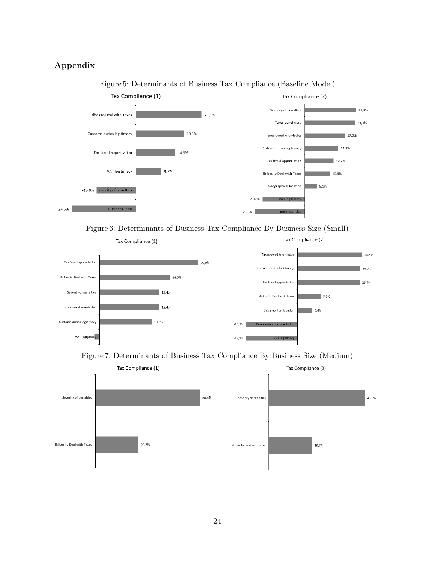# Appendix



Figure 5: Determinants of Business Tax Compliance (Baseline Model)

Figure 6: Determinants of Business Tax Compliance By Business Size (Small)





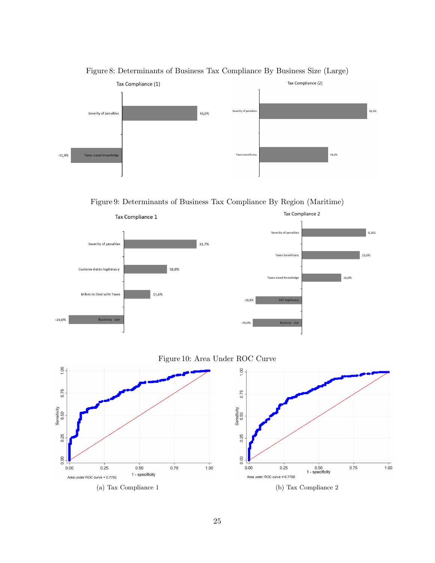

Figure 8: Determinants of Business Tax Compliance By Business Size (Large)

Figure 9: Determinants of Business Tax Compliance By Region (Maritime)



# Figure 10: Area Under ROC Curve

<span id="page-24-0"></span>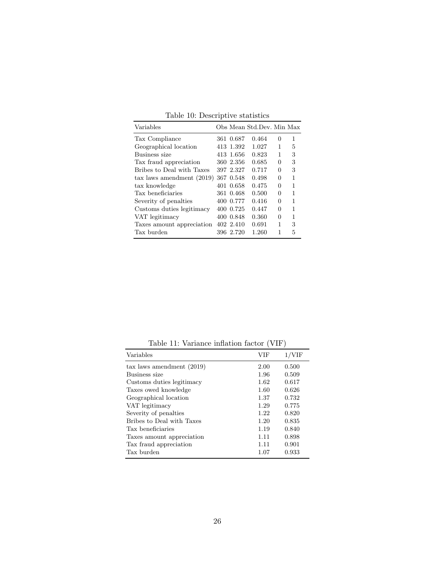| Variables                            |           | Obs Mean Std.Dev. Min Max |          |   |
|--------------------------------------|-----------|---------------------------|----------|---|
| Tax Compliance                       | 361 0.687 | 0.464                     | $\theta$ | 1 |
| Geographical location                | 413 1.392 | 1.027                     | 1        | 5 |
| Business size                        | 413 1.656 | 0.823                     | 1        | 3 |
| Tax fraud appreciation               | 360 2.356 | 0.685                     | 0        | 3 |
| Bribes to Deal with Taxes            | 397 2.327 | 0.717                     | 0        | 3 |
| $\text{tax}$ laws amendment $(2019)$ | 367 0.548 | 0.498                     | 0        | 1 |
| tax knowledge                        | 401 0.658 | 0.475                     | $\Omega$ | 1 |
| Tax beneficiaries                    | 361 0.468 | 0.500                     | 0        | 1 |
| Severity of penalties                | 400 0.777 | 0.416                     | 0        | 1 |
| Customs duties legitimacy            | 400 0.725 | 0.447                     | 0        | 1 |
| VAT legitimacy                       | 400 0.848 | 0.360                     | 0        | 1 |
| Taxes amount appreciation            | 402 2.410 | 0.691                     | 1        | 3 |
| Tax burden                           | 396 2.720 | 1.260                     | 1        | 5 |
|                                      |           |                           |          |   |

Table 10: Descriptive statistics

Table 11: Variance inflation factor (VIF)

| Variables                          | VIF  | $1/{\rm VIF}$ |
|------------------------------------|------|---------------|
| $\text{tax}$ laws amendment (2019) | 2.00 | 0.500         |
| Business size                      | 1.96 | 0.509         |
| Customs duties legitimacy          | 1.62 | 0.617         |
| Taxes owed knowledge               | 1.60 | 0.626         |
| Geographical location              | 1.37 | 0.732         |
| VAT legitimacy                     | 1.29 | 0.775         |
| Severity of penalties              | 1.22 | 0.820         |
| Bribes to Deal with Taxes          | 1.20 | 0.835         |
| Tax beneficiaries                  | 1.19 | 0.840         |
| Taxes amount appreciation          | 1.11 | 0.898         |
| Tax fraud appreciation             | 1.11 | 0.901         |
| Tax burden                         | 1.07 | 0.933         |